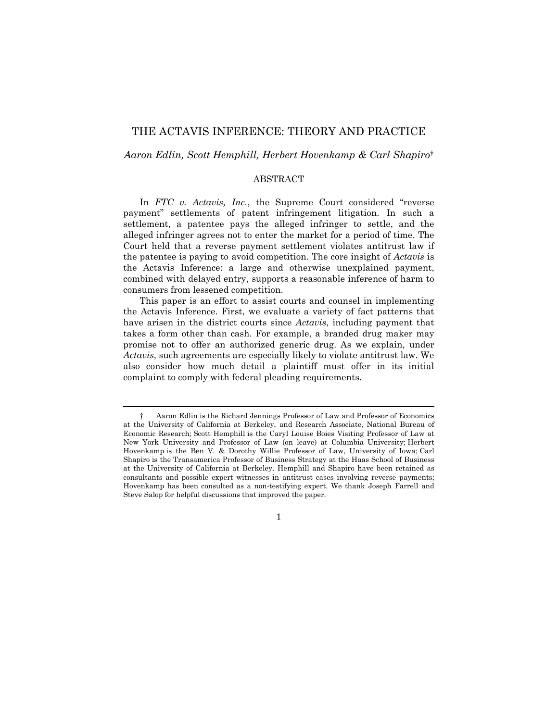# THE ACTAVIS INFERENCE: THEORY AND PRACTICE

## *Aaron Edlin, Scott Hemphill, Herbert Hovenkamp & Carl Shapiro*[†](#page-0-0)

### ABSTRACT

In *FTC v. Actavis, Inc.*, the Supreme Court considered "reverse payment" settlements of patent infringement litigation. In such a settlement, a patentee pays the alleged infringer to settle, and the alleged infringer agrees not to enter the market for a period of time. The Court held that a reverse payment settlement violates antitrust law if the patentee is paying to avoid competition. The core insight of *Actavis* is the Actavis Inference: a large and otherwise unexplained payment, combined with delayed entry, supports a reasonable inference of harm to consumers from lessened competition.

This paper is an effort to assist courts and counsel in implementing the Actavis Inference. First, we evaluate a variety of fact patterns that have arisen in the district courts since *Actavis*, including payment that takes a form other than cash. For example, a branded drug maker may promise not to offer an authorized generic drug. As we explain, under *Actavis*, such agreements are especially likely to violate antitrust law. We also consider how much detail a plaintiff must offer in its initial complaint to comply with federal pleading requirements.

<u>.</u>

1

<span id="page-0-0"></span><sup>†</sup> Aaron Edlin is the Richard Jennings Professor of Law and Professor of Economics at the University of California at Berkeley, and Research Associate, National Bureau of Economic Research; Scott Hemphill is the Caryl Louise Boies Visiting Professor of Law at New York University and Professor of Law (on leave) at Columbia University; Herbert Hovenkamp is the Ben V. & Dorothy Willie Professor of Law, University of Iowa; Carl Shapiro is the Transamerica Professor of Business Strategy at the Haas School of Business at the University of California at Berkeley. Hemphill and Shapiro have been retained as consultants and possible expert witnesses in antitrust cases involving reverse payments; Hovenkamp has been consulted as a non-testifying expert. We thank Joseph Farrell and Steve Salop for helpful discussions that improved the paper.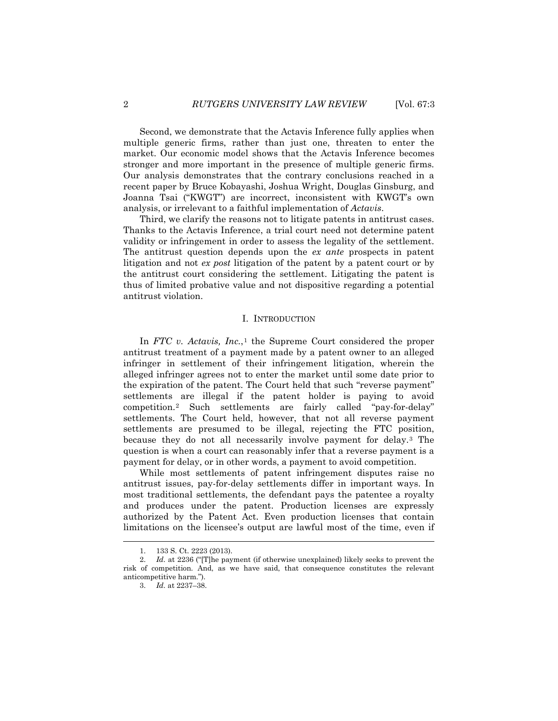Second, we demonstrate that the Actavis Inference fully applies when multiple generic firms, rather than just one, threaten to enter the market. Our economic model shows that the Actavis Inference becomes stronger and more important in the presence of multiple generic firms. Our analysis demonstrates that the contrary conclusions reached in a recent paper by Bruce Kobayashi, Joshua Wright, Douglas Ginsburg, and Joanna Tsai ("KWGT") are incorrect, inconsistent with KWGT's own analysis, or irrelevant to a faithful implementation of *Actavis*.

Third, we clarify the reasons not to litigate patents in antitrust cases. Thanks to the Actavis Inference, a trial court need not determine patent validity or infringement in order to assess the legality of the settlement. The antitrust question depends upon the *ex ante* prospects in patent litigation and not *ex post* litigation of the patent by a patent court or by the antitrust court considering the settlement. Litigating the patent is thus of limited probative value and not dispositive regarding a potential antitrust violation.

### I. INTRODUCTION

In *FTC v. Actavis, Inc.*,<sup>[1](#page-1-0)</sup> the Supreme Court considered the proper antitrust treatment of a payment made by a patent owner to an alleged infringer in settlement of their infringement litigation, wherein the alleged infringer agrees not to enter the market until some date prior to the expiration of the patent. The Court held that such "reverse payment" settlements are illegal if the patent holder is paying to avoid competition.[2](#page-1-1) Such settlements are fairly called "pay-for-delay" settlements. The Court held, however, that not all reverse payment settlements are presumed to be illegal, rejecting the FTC position, because they do not all necessarily involve payment for delay.[3](#page-1-2) The question is when a court can reasonably infer that a reverse payment is a payment for delay, or in other words, a payment to avoid competition.

While most settlements of patent infringement disputes raise no antitrust issues, pay-for-delay settlements differ in important ways. In most traditional settlements, the defendant pays the patentee a royalty and produces under the patent. Production licenses are expressly authorized by the Patent Act. Even production licenses that contain limitations on the licensee's output are lawful most of the time, even if

<sup>1.</sup> 133 S. Ct. 2223 (2013).

<span id="page-1-2"></span><span id="page-1-1"></span><span id="page-1-0"></span><sup>2.</sup> *Id.* at 2236 ("[T]he payment (if otherwise unexplained) likely seeks to prevent the risk of competition. And, as we have said, that consequence constitutes the relevant anticompetitive harm.").

<sup>3.</sup> *Id.* at 2237–38.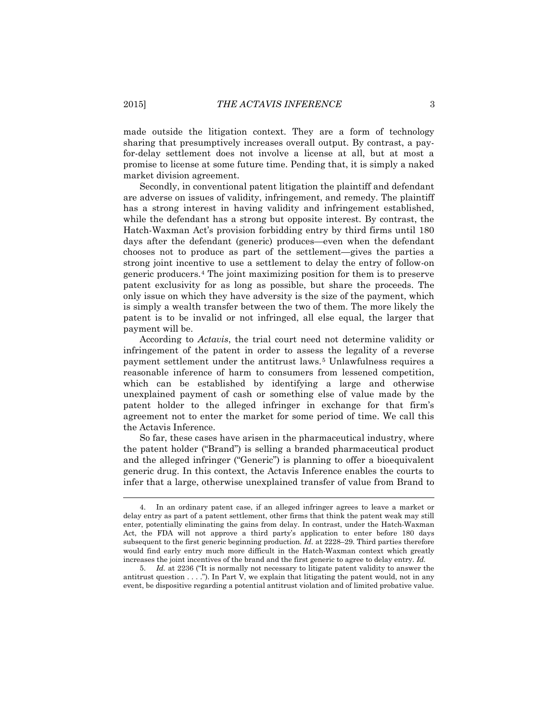made outside the litigation context. They are a form of technology sharing that presumptively increases overall output. By contrast, a payfor-delay settlement does not involve a license at all, but at most a promise to license at some future time. Pending that, it is simply a naked market division agreement.

Secondly, in conventional patent litigation the plaintiff and defendant are adverse on issues of validity, infringement, and remedy. The plaintiff has a strong interest in having validity and infringement established, while the defendant has a strong but opposite interest. By contrast, the Hatch-Waxman Act's provision forbidding entry by third firms until 180 days after the defendant (generic) produces—even when the defendant chooses not to produce as part of the settlement—gives the parties a strong joint incentive to use a settlement to delay the entry of follow-on generic producers.[4](#page-2-0) The joint maximizing position for them is to preserve patent exclusivity for as long as possible, but share the proceeds. The only issue on which they have adversity is the size of the payment, which is simply a wealth transfer between the two of them. The more likely the patent is to be invalid or not infringed, all else equal, the larger that payment will be.

According to *Actavis*, the trial court need not determine validity or infringement of the patent in order to assess the legality of a reverse payment settlement under the antitrust laws.[5](#page-2-1) Unlawfulness requires a reasonable inference of harm to consumers from lessened competition, which can be established by identifying a large and otherwise unexplained payment of cash or something else of value made by the patent holder to the alleged infringer in exchange for that firm's agreement not to enter the market for some period of time. We call this the Actavis Inference.

So far, these cases have arisen in the pharmaceutical industry, where the patent holder ("Brand") is selling a branded pharmaceutical product and the alleged infringer ("Generic") is planning to offer a bioequivalent generic drug. In this context, the Actavis Inference enables the courts to infer that a large, otherwise unexplained transfer of value from Brand to

<span id="page-2-0"></span><sup>4.</sup> In an ordinary patent case, if an alleged infringer agrees to leave a market or delay entry as part of a patent settlement, other firms that think the patent weak may still enter, potentially eliminating the gains from delay. In contrast, under the Hatch-Waxman Act, the FDA will not approve a third party's application to enter before 180 days subsequent to the first generic beginning production. *Id.* at 2228–29. Third parties therefore would find early entry much more difficult in the Hatch-Waxman context which greatly increases the joint incentives of the brand and the first generic to agree to delay entry. *Id.*

<span id="page-2-1"></span><sup>5.</sup> *Id.* at 2236 ("It is normally not necessary to litigate patent validity to answer the antitrust question  $\dots$ . ."). In Part V, we explain that litigating the patent would, not in any event, be dispositive regarding a potential antitrust violation and of limited probative value.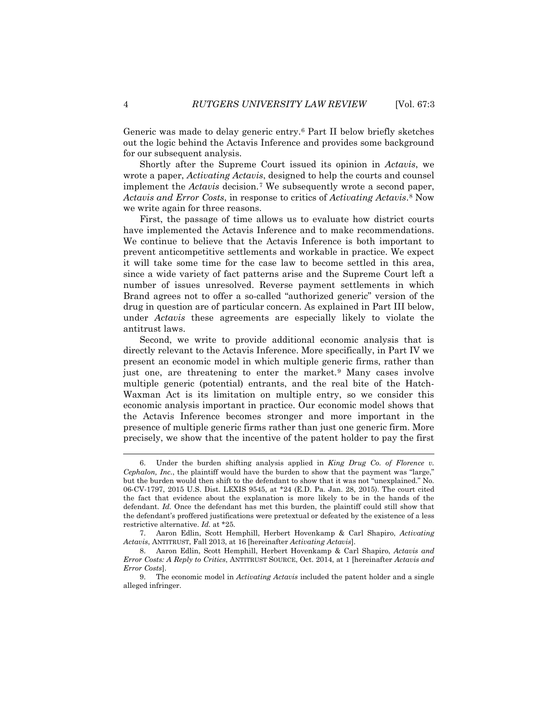Generic was made to delay generic entry.[6](#page-3-0) Part II below briefly sketches out the logic behind the Actavis Inference and provides some background for our subsequent analysis.

Shortly after the Supreme Court issued its opinion in *Actavis*, we wrote a paper, *Activating Actavis*, designed to help the courts and counsel implement the *Actavis* decision.[7](#page-3-1) We subsequently wrote a second paper, *Actavis and Error Costs*, in response to critics of *Activating Actavis*.[8](#page-3-2) Now we write again for three reasons.

First, the passage of time allows us to evaluate how district courts have implemented the Actavis Inference and to make recommendations. We continue to believe that the Actavis Inference is both important to prevent anticompetitive settlements and workable in practice. We expect it will take some time for the case law to become settled in this area, since a wide variety of fact patterns arise and the Supreme Court left a number of issues unresolved. Reverse payment settlements in which Brand agrees not to offer a so-called "authorized generic" version of the drug in question are of particular concern. As explained in Part III below, under *Actavis* these agreements are especially likely to violate the antitrust laws.

Second, we write to provide additional economic analysis that is directly relevant to the Actavis Inference. More specifically, in Part IV we present an economic model in which multiple generic firms, rather than just one, are threatening to enter the market.<sup>[9](#page-3-3)</sup> Many cases involve multiple generic (potential) entrants, and the real bite of the Hatch-Waxman Act is its limitation on multiple entry, so we consider this economic analysis important in practice. Our economic model shows that the Actavis Inference becomes stronger and more important in the presence of multiple generic firms rather than just one generic firm. More precisely, we show that the incentive of the patent holder to pay the first

<span id="page-3-0"></span><sup>6.</sup> Under the burden shifting analysis applied in *King Drug Co. of Florence v. Cephalon, Inc.*, the plaintiff would have the burden to show that the payment was "large," but the burden would then shift to the defendant to show that it was not "unexplained." No. 06-CV-1797, 2015 U.S. Dist. LEXIS 9545, at \*24 (E.D. Pa. Jan. 28, 2015). The court cited the fact that evidence about the explanation is more likely to be in the hands of the defendant. *Id.* Once the defendant has met this burden, the plaintiff could still show that the defendant's proffered justifications were pretextual or defeated by the existence of a less restrictive alternative. *Id.* at \*25.

<span id="page-3-1"></span><sup>7.</sup> Aaron Edlin, Scott Hemphill, Herbert Hovenkamp & Carl Shapiro, *Activating Actavis*, ANTITRUST, Fall 2013, at 16 [hereinafter *Activating Actavis*].

<span id="page-3-2"></span><sup>8.</sup> Aaron Edlin, Scott Hemphill, Herbert Hovenkamp & Carl Shapiro, *Actavis and Error Costs: A Reply to Critics*, ANTITRUST SOURCE, Oct. 2014, at 1 [hereinafter *Actavis and Error Costs*].

<span id="page-3-3"></span><sup>9.</sup> The economic model in *Activating Actavis* included the patent holder and a single alleged infringer.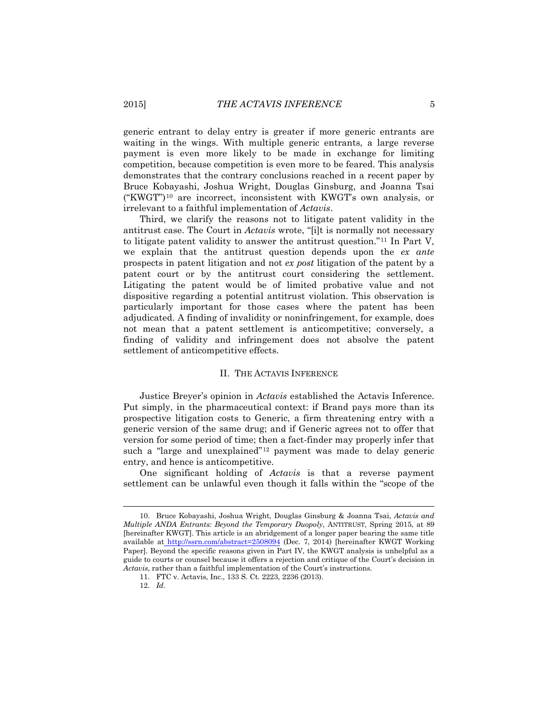generic entrant to delay entry is greater if more generic entrants are waiting in the wings. With multiple generic entrants, a large reverse payment is even more likely to be made in exchange for limiting competition, because competition is even more to be feared. This analysis demonstrates that the contrary conclusions reached in a recent paper by Bruce Kobayashi, Joshua Wright, Douglas Ginsburg, and Joanna Tsai ("KWGT")[10](#page-4-0) are incorrect, inconsistent with KWGT's own analysis, or irrelevant to a faithful implementation of *Actavis*.

<span id="page-4-3"></span>Third, we clarify the reasons not to litigate patent validity in the antitrust case. The Court in *Actavis* wrote, "[i]t is normally not necessary to litigate patent validity to answer the antitrust question."[11](#page-4-1) In Part V, we explain that the antitrust question depends upon the *ex ante* prospects in patent litigation and not *ex post* litigation of the patent by a patent court or by the antitrust court considering the settlement. Litigating the patent would be of limited probative value and not dispositive regarding a potential antitrust violation. This observation is particularly important for those cases where the patent has been adjudicated. A finding of invalidity or noninfringement, for example, does not mean that a patent settlement is anticompetitive; conversely, a finding of validity and infringement does not absolve the patent settlement of anticompetitive effects.

#### II. THE ACTAVIS INFERENCE

Justice Breyer's opinion in *Actavis* established the Actavis Inference. Put simply, in the pharmaceutical context: if Brand pays more than its prospective litigation costs to Generic, a firm threatening entry with a generic version of the same drug; and if Generic agrees not to offer that version for some period of time; then a fact-finder may properly infer that such a "large and unexplained"[12](#page-4-2) payment was made to delay generic entry, and hence is anticompetitive.

One significant holding of *Actavis* is that a reverse payment settlement can be unlawful even though it falls within the "scope of the

<span id="page-4-1"></span><span id="page-4-0"></span><sup>10.</sup> Bruce Kobayashi, Joshua Wright, Douglas Ginsburg & Joanna Tsai, *Actavis and Multiple ANDA Entrants: Beyond the Temporary Duopoly*, ANTITRUST, Spring 2015, at 89 [hereinafter KWGT]. This article is an abridgement of a longer paper bearing the same title available at <http://ssrn.com/abstract=2508094> (Dec. 7, 2014) [hereinafter KWGT Working Paper]. Beyond the specific reasons given in Part IV, the KWGT analysis is unhelpful as a guide to courts or counsel because it offers a rejection and critique of the Court's decision in *Actavis*, rather than a faithful implementation of the Court's instructions.

<sup>11.</sup> FTC v. Actavis, Inc., 133 S. Ct. 2223, 2236 (2013).

<span id="page-4-2"></span><sup>12.</sup> *Id.*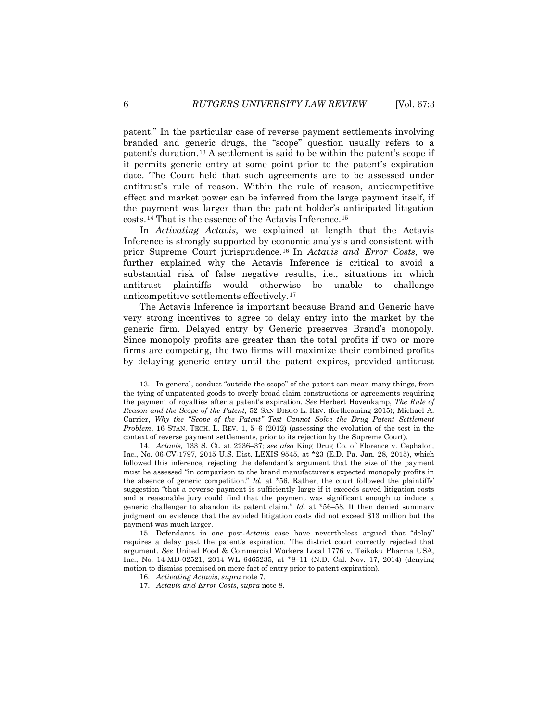patent." In the particular case of reverse payment settlements involving branded and generic drugs, the "scope" question usually refers to a patent's duration.[13](#page-5-0) A settlement is said to be within the patent's scope if it permits generic entry at some point prior to the patent's expiration date. The Court held that such agreements are to be assessed under antitrust's rule of reason. Within the rule of reason, anticompetitive effect and market power can be inferred from the large payment itself, if the payment was larger than the patent holder's anticipated litigation costs.[14](#page-5-1) That is the essence of the Actavis Inference.[15](#page-5-2)

In *Activating Actavis*, we explained at length that the Actavis Inference is strongly supported by economic analysis and consistent with prior Supreme Court jurisprudence.[16](#page-5-3) In *Actavis and Error Costs*, we further explained why the Actavis Inference is critical to avoid a substantial risk of false negative results, i.e., situations in which antitrust plaintiffs would otherwise be unable to challenge anticompetitive settlements effectively.[17](#page-5-4)

The Actavis Inference is important because Brand and Generic have very strong incentives to agree to delay entry into the market by the generic firm. Delayed entry by Generic preserves Brand's monopoly. Since monopoly profits are greater than the total profits if two or more firms are competing, the two firms will maximize their combined profits by delaying generic entry until the patent expires, provided antitrust

17. *Actavis and Error Costs*, *supra* note 8.

<span id="page-5-0"></span><sup>13.</sup> In general, conduct "outside the scope" of the patent can mean many things, from the tying of unpatented goods to overly broad claim constructions or agreements requiring the payment of royalties after a patent's expiration. *See* Herbert Hovenkamp, *The Rule of Reason and the Scope of the Patent*, 52 SAN DIEGO L. REV. (forthcoming 2015); Michael A. Carrier, *Why the "Scope of the Patent" Test Cannot Solve the Drug Patent Settlement Problem*, 16 STAN. TECH. L. REV. 1, 5–6 (2012) (assessing the evolution of the test in the context of reverse payment settlements, prior to its rejection by the Supreme Court).

<span id="page-5-1"></span><sup>14.</sup> *Actavis*, 133 S. Ct. at 2236–37; *see also* King Drug Co. of Florence v. Cephalon, Inc., No. 06-CV-1797, 2015 U.S. Dist. LEXIS 9545, at \*23 (E.D. Pa. Jan. 28, 2015), which followed this inference, rejecting the defendant's argument that the size of the payment must be assessed "in comparison to the brand manufacturer's expected monopoly profits in the absence of generic competition." *Id.* at \*56. Rather, the court followed the plaintiffs' suggestion "that a reverse payment is sufficiently large if it exceeds saved litigation costs and a reasonable jury could find that the payment was significant enough to induce a generic challenger to abandon its patent claim." *Id.* at \*56–58. It then denied summary judgment on evidence that the avoided litigation costs did not exceed \$13 million but the payment was much larger.

<span id="page-5-4"></span><span id="page-5-3"></span><span id="page-5-2"></span><sup>15.</sup> Defendants in one post-*Actavis* case have nevertheless argued that "delay" requires a delay past the patent's expiration. The district court correctly rejected that argument. *See* United Food & Commercial Workers Local 1776 v. Teikoku Pharma USA, Inc., No. 14-MD-02521, 2014 WL 6465235, at \*8–11 (N.D. Cal. Nov. 17, 2014) (denying motion to dismiss premised on mere fact of entry prior to patent expiration).

<sup>16.</sup> *Activating Actavis*, *supra* note 7.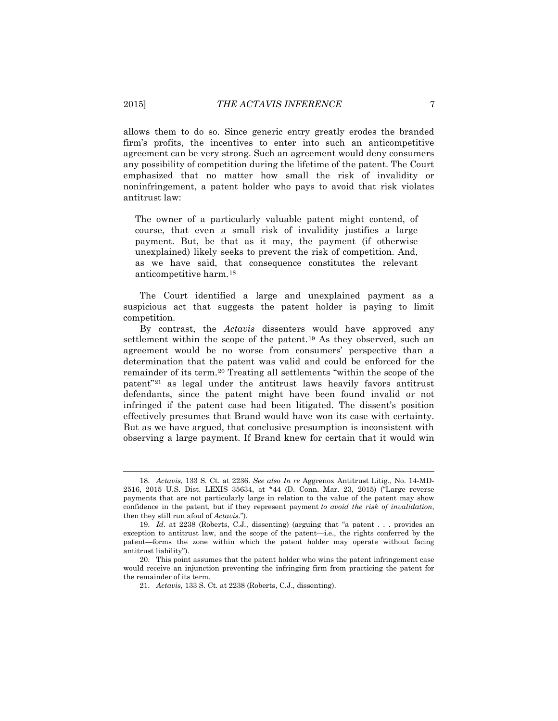allows them to do so. Since generic entry greatly erodes the branded firm's profits, the incentives to enter into such an anticompetitive agreement can be very strong. Such an agreement would deny consumers any possibility of competition during the lifetime of the patent. The Court emphasized that no matter how small the risk of invalidity or noninfringement, a patent holder who pays to avoid that risk violates antitrust law:

The owner of a particularly valuable patent might contend, of course, that even a small risk of invalidity justifies a large payment. But, be that as it may, the payment (if otherwise unexplained) likely seeks to prevent the risk of competition. And, as we have said, that consequence constitutes the relevant anticompetitive harm.[18](#page-6-0)

The Court identified a large and unexplained payment as a suspicious act that suggests the patent holder is paying to limit competition.

By contrast, the *Actavis* dissenters would have approved any settlement within the scope of the patent.<sup>[19](#page-6-1)</sup> As they observed, such an agreement would be no worse from consumers' perspective than a determination that the patent was valid and could be enforced for the remainder of its term.[20](#page-6-2) Treating all settlements "within the scope of the patent"[21](#page-6-3) as legal under the antitrust laws heavily favors antitrust defendants, since the patent might have been found invalid or not infringed if the patent case had been litigated. The dissent's position effectively presumes that Brand would have won its case with certainty. But as we have argued, that conclusive presumption is inconsistent with observing a large payment. If Brand knew for certain that it would win

<span id="page-6-0"></span><sup>18.</sup> *Actavis*, 133 S. Ct. at 2236. *See also In re* Aggrenox Antitrust Litig., No. 14-MD-2516, 2015 U.S. Dist. LEXIS 35634, at \*44 (D. Conn. Mar. 23, 2015) ("Large reverse payments that are not particularly large in relation to the value of the patent may show confidence in the patent, but if they represent payment *to avoid the risk of invalidation*, then they still run afoul of *Actavis*.").

<span id="page-6-1"></span><sup>19.</sup> *Id.* at 2238 (Roberts, C.J., dissenting) (arguing that "a patent . . . provides an exception to antitrust law, and the scope of the patent—i.e., the rights conferred by the patent—forms the zone within which the patent holder may operate without facing antitrust liability").

<span id="page-6-3"></span><span id="page-6-2"></span><sup>20.</sup> This point assumes that the patent holder who wins the patent infringement case would receive an injunction preventing the infringing firm from practicing the patent for the remainder of its term.

<sup>21.</sup> *Actavis*, 133 S. Ct. at 2238 (Roberts, C.J., dissenting).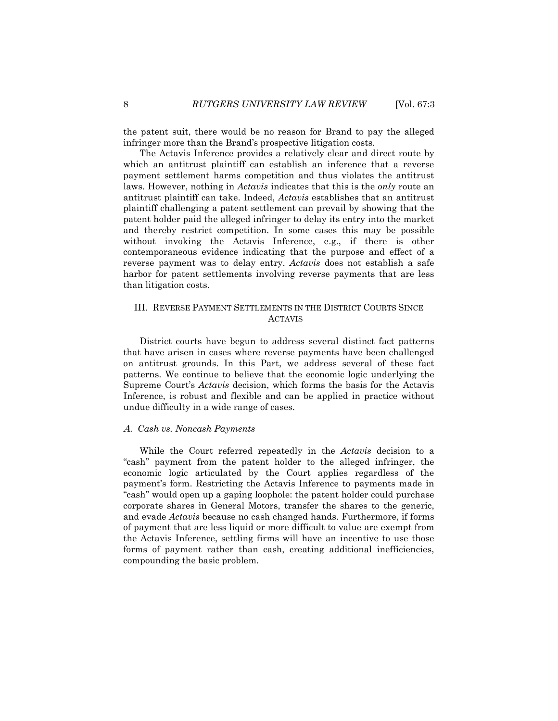the patent suit, there would be no reason for Brand to pay the alleged infringer more than the Brand's prospective litigation costs.

The Actavis Inference provides a relatively clear and direct route by which an antitrust plaintiff can establish an inference that a reverse payment settlement harms competition and thus violates the antitrust laws. However, nothing in *Actavis* indicates that this is the *only* route an antitrust plaintiff can take. Indeed, *Actavis* establishes that an antitrust plaintiff challenging a patent settlement can prevail by showing that the patent holder paid the alleged infringer to delay its entry into the market and thereby restrict competition. In some cases this may be possible without invoking the Actavis Inference, e.g., if there is other contemporaneous evidence indicating that the purpose and effect of a reverse payment was to delay entry. *Actavis* does not establish a safe harbor for patent settlements involving reverse payments that are less than litigation costs.

## III. REVERSE PAYMENT SETTLEMENTS IN THE DISTRICT COURTS SINCE **ACTAVIS**

District courts have begun to address several distinct fact patterns that have arisen in cases where reverse payments have been challenged on antitrust grounds. In this Part, we address several of these fact patterns. We continue to believe that the economic logic underlying the Supreme Court's *Actavis* decision, which forms the basis for the Actavis Inference, is robust and flexible and can be applied in practice without undue difficulty in a wide range of cases.

### A. *Cash vs. Noncash Payments*

While the Court referred repeatedly in the *Actavis* decision to a "cash" payment from the patent holder to the alleged infringer, the economic logic articulated by the Court applies regardless of the payment's form. Restricting the Actavis Inference to payments made in "cash" would open up a gaping loophole: the patent holder could purchase corporate shares in General Motors, transfer the shares to the generic, and evade *Actavis* because no cash changed hands. Furthermore, if forms of payment that are less liquid or more difficult to value are exempt from the Actavis Inference, settling firms will have an incentive to use those forms of payment rather than cash, creating additional inefficiencies, compounding the basic problem.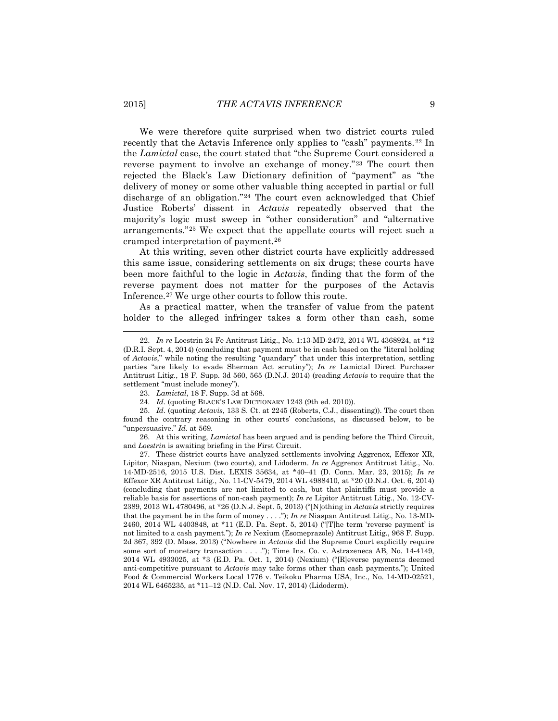We were therefore quite surprised when two district courts ruled recently that the Actavis Inference only applies to "cash" payments.[22](#page-8-0) In the *Lamictal* case, the court stated that "the Supreme Court considered a reverse payment to involve an exchange of money."[23](#page-8-1) The court then rejected the Black's Law Dictionary definition of "payment" as "the delivery of money or some other valuable thing accepted in partial or full discharge of an obligation."[24](#page-8-2) The court even acknowledged that Chief Justice Roberts' dissent in *Actavis* repeatedly observed that the majority's logic must sweep in "other consideration" and "alternative arrangements."[25](#page-8-3) We expect that the appellate courts will reject such a cramped interpretation of payment.[26](#page-8-4)

At this writing, seven other district courts have explicitly addressed this same issue, considering settlements on six drugs; these courts have been more faithful to the logic in *Actavis*, finding that the form of the reverse payment does not matter for the purposes of the Actavis Inference.[27](#page-8-5) We urge other courts to follow this route.

As a practical matter, when the transfer of value from the patent holder to the alleged infringer takes a form other than cash, some

<span id="page-8-3"></span><span id="page-8-2"></span><span id="page-8-1"></span>25. *Id.* (quoting *Actavis*, 133 S. Ct. at 2245 (Roberts, C.J., dissenting)). The court then found the contrary reasoning in other courts' conclusions, as discussed below, to be "unpersuasive." *Id.* at 569.

<span id="page-8-4"></span>26. At this writing, *Lamictal* has been argued and is pending before the Third Circuit, and *Loestrin* is awaiting briefing in the First Circuit.

<span id="page-8-5"></span>27. These district courts have analyzed settlements involving Aggrenox, Effexor XR, Lipitor, Niaspan, Nexium (two courts), and Lidoderm. *In re* Aggrenox Antitrust Litig., No. 14-MD-2516, 2015 U.S. Dist. LEXIS 35634, at \*40–41 (D. Conn. Mar. 23, 2015); *In re* Effexor XR Antitrust Litig., No. 11-CV-5479, 2014 WL 4988410, at \*20 (D.N.J. Oct. 6, 2014) (concluding that payments are not limited to cash, but that plaintiffs must provide a reliable basis for assertions of non-cash payment); *In re* Lipitor Antitrust Litig., No. 12-CV-2389, 2013 WL 4780496, at \*26 (D.N.J. Sept. 5, 2013) ("[N]othing in *Actavis* strictly requires that the payment be in the form of money . . . ."); *In re* Niaspan Antitrust Litig., No. 13-MD-2460, 2014 WL 4403848, at \*11 (E.D. Pa. Sept. 5, 2014) ("[T]he term 'reverse payment' is not limited to a cash payment."); *In re* Nexium (Esomeprazole) Antitrust Litig., 968 F. Supp. 2d 367, 392 (D. Mass. 2013) ("Nowhere in *Actavis* did the Supreme Court explicitly require some sort of monetary transaction . . . ."); Time Ins. Co. v. Astrazeneca AB, No. 14-4149, 2014 WL 4933025, at \*3 (E.D. Pa. Oct. 1, 2014) (Nexium) ("[R]everse payments deemed anti-competitive pursuant to *Actavis* may take forms other than cash payments."); United Food & Commercial Workers Local 1776 v. Teikoku Pharma USA, Inc., No. 14-MD-02521, 2014 WL 6465235, at \*11–12 (N.D. Cal. Nov. 17, 2014) (Lidoderm).

<span id="page-8-0"></span><sup>22.</sup> *In re* Loestrin 24 Fe Antitrust Litig., No. 1:13-MD-2472, 2014 WL 4368924, at \*12 (D.R.I. Sept. 4, 2014) (concluding that payment must be in cash based on the "literal holding of *Actavis*," while noting the resulting "quandary" that under this interpretation, settling parties "are likely to evade Sherman Act scrutiny"); *In re* Lamictal Direct Purchaser Antitrust Litig., 18 F. Supp. 3d 560, 565 (D.N.J. 2014) (reading *Actavis* to require that the settlement "must include money").

<sup>23.</sup> *Lamictal*, 18 F. Supp. 3d at 568.

<sup>24.</sup> *Id.* (quoting BLACK'S LAW DICTIONARY 1243 (9th ed. 2010)).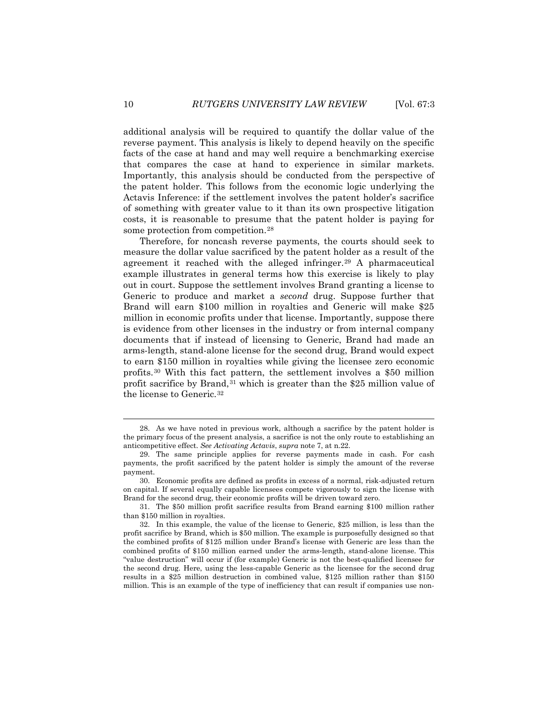additional analysis will be required to quantify the dollar value of the reverse payment. This analysis is likely to depend heavily on the specific facts of the case at hand and may well require a benchmarking exercise that compares the case at hand to experience in similar markets. Importantly, this analysis should be conducted from the perspective of the patent holder. This follows from the economic logic underlying the Actavis Inference: if the settlement involves the patent holder's sacrifice of something with greater value to it than its own prospective litigation costs, it is reasonable to presume that the patent holder is paying for some protection from competition.[28](#page-9-0)

Therefore, for noncash reverse payments, the courts should seek to measure the dollar value sacrificed by the patent holder as a result of the agreement it reached with the alleged infringer.[29](#page-9-1) A pharmaceutical example illustrates in general terms how this exercise is likely to play out in court. Suppose the settlement involves Brand granting a license to Generic to produce and market a *second* drug. Suppose further that Brand will earn \$100 million in royalties and Generic will make \$25 million in economic profits under that license. Importantly, suppose there is evidence from other licenses in the industry or from internal company documents that if instead of licensing to Generic, Brand had made an arms-length, stand-alone license for the second drug, Brand would expect to earn \$150 million in royalties while giving the licensee zero economic profits.[30](#page-9-2) With this fact pattern, the settlement involves a \$50 million profit sacrifice by Brand,<sup>[31](#page-9-3)</sup> which is greater than the \$25 million value of the license to Generic.[32](#page-9-4)

<span id="page-9-0"></span><sup>28.</sup> As we have noted in previous work, although a sacrifice by the patent holder is the primary focus of the present analysis, a sacrifice is not the only route to establishing an anticompetitive effect. *See Activating Actavis*, *supra* note 7, at n.22.

<span id="page-9-1"></span><sup>29.</sup> The same principle applies for reverse payments made in cash. For cash payments, the profit sacrificed by the patent holder is simply the amount of the reverse payment.

<span id="page-9-2"></span><sup>30.</sup> Economic profits are defined as profits in excess of a normal, risk-adjusted return on capital. If several equally capable licensees compete vigorously to sign the license with Brand for the second drug, their economic profits will be driven toward zero.

<span id="page-9-3"></span><sup>31.</sup> The \$50 million profit sacrifice results from Brand earning \$100 million rather than \$150 million in royalties.

<span id="page-9-4"></span><sup>32.</sup> In this example, the value of the license to Generic, \$25 million, is less than the profit sacrifice by Brand, which is \$50 million. The example is purposefully designed so that the combined profits of \$125 million under Brand's license with Generic are less than the combined profits of \$150 million earned under the arms-length, stand-alone license. This "value destruction" will occur if (for example) Generic is not the best-qualified licensee for the second drug. Here, using the less-capable Generic as the licensee for the second drug results in a \$25 million destruction in combined value, \$125 million rather than \$150 million. This is an example of the type of inefficiency that can result if companies use non-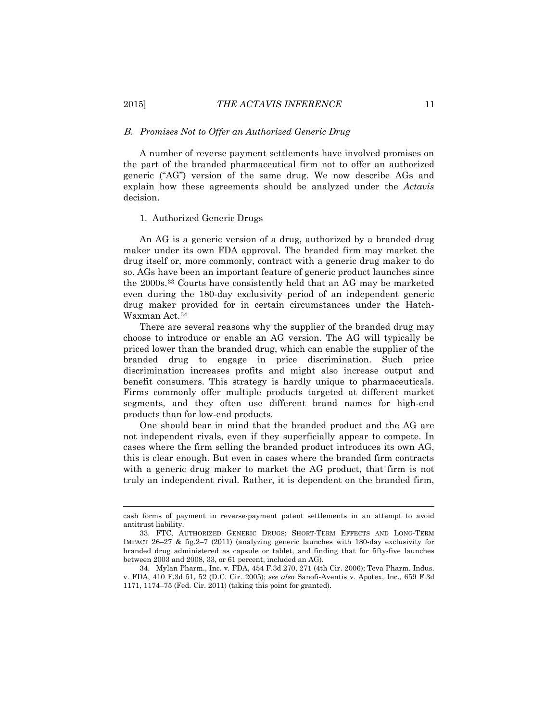#### B. *Promises Not to Offer an Authorized Generic Drug*

A number of reverse payment settlements have involved promises on the part of the branded pharmaceutical firm not to offer an authorized generic ("AG") version of the same drug. We now describe AGs and explain how these agreements should be analyzed under the *Actavis* decision.

#### 1. Authorized Generic Drugs

An AG is a generic version of a drug, authorized by a branded drug maker under its own FDA approval. The branded firm may market the drug itself or, more commonly, contract with a generic drug maker to do so. AGs have been an important feature of generic product launches since the 2000s.[33](#page-10-0) Courts have consistently held that an AG may be marketed even during the 180-day exclusivity period of an independent generic drug maker provided for in certain circumstances under the Hatch-Waxman Act.[34](#page-10-1)

There are several reasons why the supplier of the branded drug may choose to introduce or enable an AG version. The AG will typically be priced lower than the branded drug, which can enable the supplier of the branded drug to engage in price discrimination. Such price discrimination increases profits and might also increase output and benefit consumers. This strategy is hardly unique to pharmaceuticals. Firms commonly offer multiple products targeted at different market segments, and they often use different brand names for high-end products than for low-end products.

One should bear in mind that the branded product and the AG are not independent rivals, even if they superficially appear to compete. In cases where the firm selling the branded product introduces its own AG, this is clear enough. But even in cases where the branded firm contracts with a generic drug maker to market the AG product, that firm is not truly an independent rival. Rather, it is dependent on the branded firm,

cash forms of payment in reverse-payment patent settlements in an attempt to avoid antitrust liability.

<span id="page-10-0"></span><sup>33.</sup> FTC, AUTHORIZED GENERIC DRUGS: SHORT-TERM EFFECTS AND LONG-TERM IMPACT 26–27 & fig.2–7 (2011) (analyzing generic launches with 180-day exclusivity for branded drug administered as capsule or tablet, and finding that for fifty-five launches between 2003 and 2008, 33, or 61 percent, included an AG).

<span id="page-10-1"></span><sup>34.</sup> Mylan Pharm., Inc. v. FDA, 454 F.3d 270, 271 (4th Cir. 2006); Teva Pharm. Indus. v. FDA, 410 F.3d 51, 52 (D.C. Cir. 2005); *see also* Sanofi-Aventis v. Apotex, Inc., 659 F.3d 1171, 1174–75 (Fed. Cir. 2011) (taking this point for granted).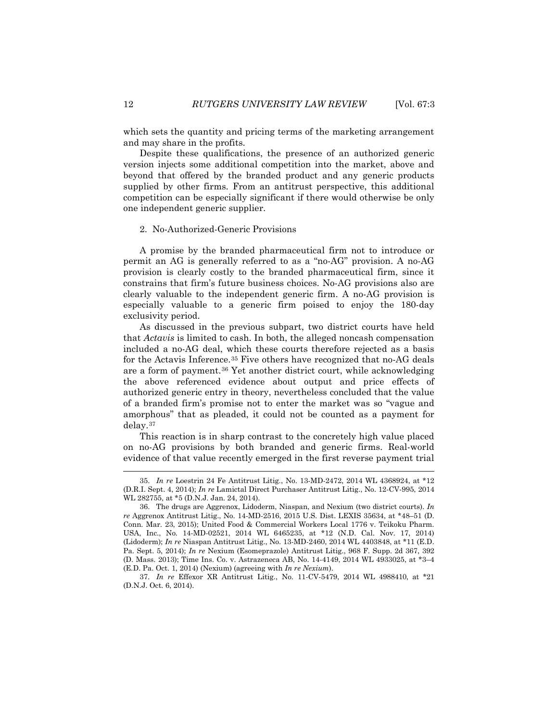which sets the quantity and pricing terms of the marketing arrangement and may share in the profits.

Despite these qualifications, the presence of an authorized generic version injects some additional competition into the market, above and beyond that offered by the branded product and any generic products supplied by other firms. From an antitrust perspective, this additional competition can be especially significant if there would otherwise be only one independent generic supplier.

### 2. No-Authorized-Generic Provisions

A promise by the branded pharmaceutical firm not to introduce or permit an AG is generally referred to as a "no-AG" provision. A no-AG provision is clearly costly to the branded pharmaceutical firm, since it constrains that firm's future business choices. No-AG provisions also are clearly valuable to the independent generic firm. A no-AG provision is especially valuable to a generic firm poised to enjoy the 180-day exclusivity period.

As discussed in the previous subpart, two district courts have held that *Actavis* is limited to cash. In both, the alleged noncash compensation included a no-AG deal, which these courts therefore rejected as a basis for the Actavis Inference.[35](#page-11-0) Five others have recognized that no-AG deals are a form of payment.[36](#page-11-1) Yet another district court, while acknowledging the above referenced evidence about output and price effects of authorized generic entry in theory, nevertheless concluded that the value of a branded firm's promise not to enter the market was so "vague and amorphous" that as pleaded, it could not be counted as a payment for delay.[37](#page-11-2)

This reaction is in sharp contrast to the concretely high value placed on no-AG provisions by both branded and generic firms. Real-world evidence of that value recently emerged in the first reverse payment trial

<span id="page-11-0"></span><sup>35.</sup> *In re* Loestrin 24 Fe Antitrust Litig., No. 13-MD-2472, 2014 WL 4368924, at \*12 (D.R.I. Sept. 4, 2014); *In re* Lamictal Direct Purchaser Antitrust Litig., No. 12-CV-995, 2014 WL 282755, at \*5 (D.N.J. Jan. 24, 2014).

<span id="page-11-1"></span><sup>36.</sup> The drugs are Aggrenox, Lidoderm, Niaspan, and Nexium (two district courts). *In re* Aggrenox Antitrust Litig., No. 14-MD-2516, 2015 U.S. Dist. LEXIS 35634, at \*48–51 (D. Conn. Mar. 23, 2015); United Food & Commercial Workers Local 1776 v. Teikoku Pharm. USA, Inc., No. 14-MD-02521, 2014 WL 6465235, at \*12 (N.D. Cal. Nov. 17, 2014) (Lidoderm); *In re* Niaspan Antitrust Litig., No. 13-MD-2460, 2014 WL 4403848, at \*11 (E.D. Pa. Sept. 5, 2014); *In re* Nexium (Esomeprazole) Antitrust Litig., 968 F. Supp. 2d 367, 392 (D. Mass. 2013); Time Ins. Co. v. Astrazeneca AB, No. 14-4149, 2014 WL 4933025, at \*3–4 (E.D. Pa. Oct. 1, 2014) (Nexium) (agreeing with *In re Nexium*).

<span id="page-11-2"></span><sup>37.</sup> *In re* Effexor XR Antitrust Litig., No. 11-CV-5479, 2014 WL 4988410, at \*21 (D.N.J. Oct. 6, 2014).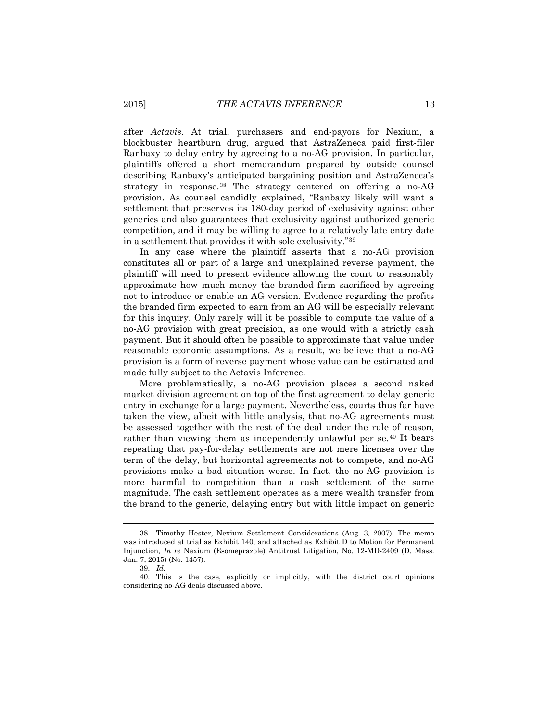after *Actavis*. At trial, purchasers and end-payors for Nexium, a blockbuster heartburn drug, argued that AstraZeneca paid first-filer Ranbaxy to delay entry by agreeing to a no-AG provision. In particular, plaintiffs offered a short memorandum prepared by outside counsel describing Ranbaxy's anticipated bargaining position and AstraZeneca's strategy in response.[38](#page-12-0) The strategy centered on offering a no-AG provision. As counsel candidly explained, "Ranbaxy likely will want a settlement that preserves its 180-day period of exclusivity against other generics and also guarantees that exclusivity against authorized generic competition, and it may be willing to agree to a relatively late entry date in a settlement that provides it with sole exclusivity."[39](#page-12-1)

In any case where the plaintiff asserts that a no-AG provision constitutes all or part of a large and unexplained reverse payment, the plaintiff will need to present evidence allowing the court to reasonably approximate how much money the branded firm sacrificed by agreeing not to introduce or enable an AG version. Evidence regarding the profits the branded firm expected to earn from an AG will be especially relevant for this inquiry. Only rarely will it be possible to compute the value of a no-AG provision with great precision, as one would with a strictly cash payment. But it should often be possible to approximate that value under reasonable economic assumptions. As a result, we believe that a no-AG provision is a form of reverse payment whose value can be estimated and made fully subject to the Actavis Inference.

More problematically, a no-AG provision places a second naked market division agreement on top of the first agreement to delay generic entry in exchange for a large payment. Nevertheless, courts thus far have taken the view, albeit with little analysis, that no-AG agreements must be assessed together with the rest of the deal under the rule of reason, rather than viewing them as independently unlawful per se.<sup>[40](#page-12-2)</sup> It bears repeating that pay-for-delay settlements are not mere licenses over the term of the delay, but horizontal agreements not to compete, and no-AG provisions make a bad situation worse. In fact, the no-AG provision is more harmful to competition than a cash settlement of the same magnitude. The cash settlement operates as a mere wealth transfer from the brand to the generic, delaying entry but with little impact on generic

<span id="page-12-0"></span><sup>38.</sup> Timothy Hester, Nexium Settlement Considerations (Aug. 3, 2007). The memo was introduced at trial as Exhibit 140, and attached as Exhibit D to Motion for Permanent Injunction, *In re* Nexium (Esomeprazole) Antitrust Litigation, No. 12-MD-2409 (D. Mass. Jan. 7, 2015) (No. 1457).

<sup>39.</sup> *Id.*

<span id="page-12-2"></span><span id="page-12-1"></span><sup>40.</sup> This is the case, explicitly or implicitly, with the district court opinions considering no-AG deals discussed above.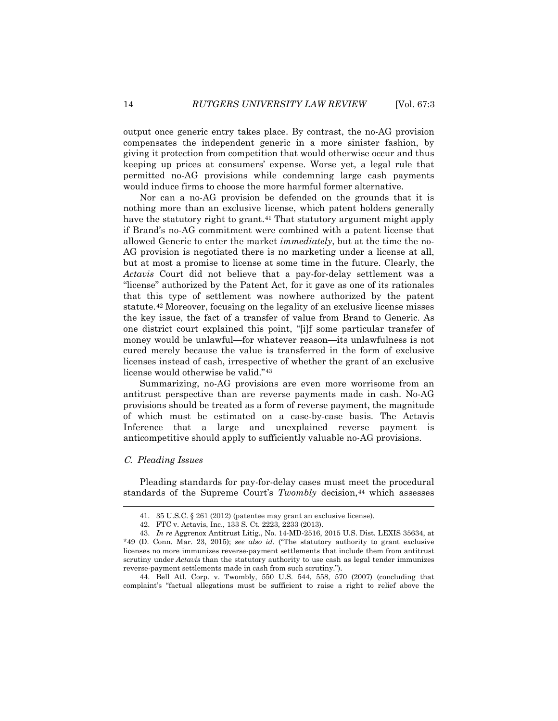output once generic entry takes place. By contrast, the no-AG provision compensates the independent generic in a more sinister fashion, by giving it protection from competition that would otherwise occur and thus keeping up prices at consumers' expense. Worse yet, a legal rule that permitted no-AG provisions while condemning large cash payments would induce firms to choose the more harmful former alternative.

Nor can a no-AG provision be defended on the grounds that it is nothing more than an exclusive license, which patent holders generally have the statutory right to grant.<sup>[41](#page-13-0)</sup> That statutory argument might apply if Brand's no-AG commitment were combined with a patent license that allowed Generic to enter the market *immediately*, but at the time the no-AG provision is negotiated there is no marketing under a license at all, but at most a promise to license at some time in the future. Clearly, the *Actavis* Court did not believe that a pay-for-delay settlement was a "license" authorized by the Patent Act, for it gave as one of its rationales that this type of settlement was nowhere authorized by the patent statute.[42](#page-13-1) Moreover, focusing on the legality of an exclusive license misses the key issue, the fact of a transfer of value from Brand to Generic. As one district court explained this point, "[i]f some particular transfer of money would be unlawful—for whatever reason—its unlawfulness is not cured merely because the value is transferred in the form of exclusive licenses instead of cash, irrespective of whether the grant of an exclusive license would otherwise be valid."[43](#page-13-2)

Summarizing, no-AG provisions are even more worrisome from an antitrust perspective than are reverse payments made in cash. No-AG provisions should be treated as a form of reverse payment, the magnitude of which must be estimated on a case-by-case basis. The Actavis Inference that a large and unexplained reverse payment is anticompetitive should apply to sufficiently valuable no-AG provisions.

## C. *Pleading Issues*

-

Pleading standards for pay-for-delay cases must meet the procedural standards of the Supreme Court's *Twombly* decision,<sup>[44](#page-13-3)</sup> which assesses

<span id="page-13-3"></span>44. Bell Atl. Corp. v. Twombly, 550 U.S. 544, 558, 570 (2007) (concluding that complaint's "factual allegations must be sufficient to raise a right to relief above the

<sup>41.</sup> 35 U.S.C. § 261 (2012) (patentee may grant an exclusive license).

<sup>42.</sup> FTC v. Actavis, Inc., 133 S. Ct. 2223, 2233 (2013).

<span id="page-13-2"></span><span id="page-13-1"></span><span id="page-13-0"></span><sup>43.</sup> *In re* Aggrenox Antitrust Litig., No. 14-MD-2516, 2015 U.S. Dist. LEXIS 35634, at \*49 (D. Conn. Mar. 23, 2015); *see also id.* ("The statutory authority to grant exclusive licenses no more immunizes reverse-payment settlements that include them from antitrust scrutiny under *Actavis* than the statutory authority to use cash as legal tender immunizes reverse-payment settlements made in cash from such scrutiny.").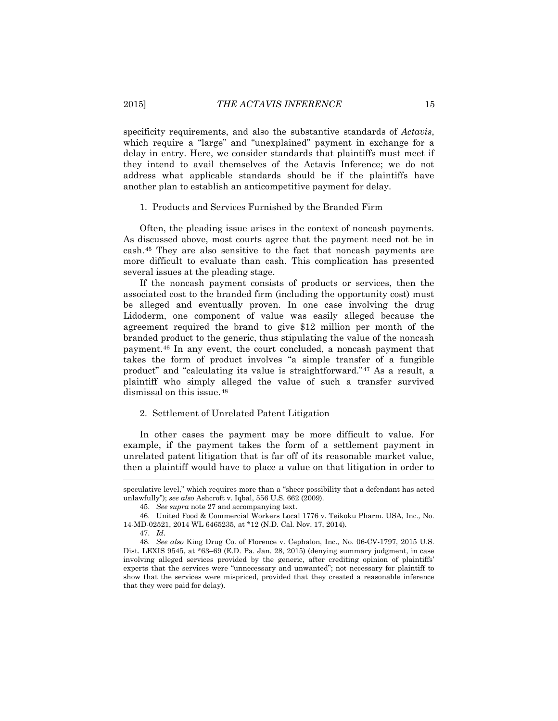specificity requirements, and also the substantive standards of *Actavis*, which require a "large" and "unexplained" payment in exchange for a delay in entry. Here, we consider standards that plaintiffs must meet if they intend to avail themselves of the Actavis Inference; we do not address what applicable standards should be if the plaintiffs have another plan to establish an anticompetitive payment for delay.

### 1. Products and Services Furnished by the Branded Firm

Often, the pleading issue arises in the context of noncash payments. As discussed above, most courts agree that the payment need not be in cash.[45](#page-14-0) They are also sensitive to the fact that noncash payments are more difficult to evaluate than cash. This complication has presented several issues at the pleading stage.

If the noncash payment consists of products or services, then the associated cost to the branded firm (including the opportunity cost) must be alleged and eventually proven. In one case involving the drug Lidoderm, one component of value was easily alleged because the agreement required the brand to give \$12 million per month of the branded product to the generic, thus stipulating the value of the noncash payment.[46](#page-14-1) In any event, the court concluded, a noncash payment that takes the form of product involves "a simple transfer of a fungible product" and "calculating its value is straightforward."[47](#page-14-2) As a result, a plaintiff who simply alleged the value of such a transfer survived dismissal on this issue.[48](#page-14-3)

### 2. Settlement of Unrelated Patent Litigation

In other cases the payment may be more difficult to value. For example, if the payment takes the form of a settlement payment in unrelated patent litigation that is far off of its reasonable market value, then a plaintiff would have to place a value on that litigation in order to

<span id="page-14-0"></span>speculative level," which requires more than a "sheer possibility that a defendant has acted unlawfully"); *see also* Ashcroft v. Iqbal, 556 U.S. 662 (2009).

<sup>45.</sup> *See supra* note 27 and accompanying text.

<span id="page-14-1"></span><sup>46.</sup> United Food & Commercial Workers Local 1776 v. Teikoku Pharm. USA, Inc., No. 14-MD-02521, 2014 WL 6465235, at \*12 (N.D. Cal. Nov. 17, 2014).

<sup>47.</sup> *Id.*

<span id="page-14-3"></span><span id="page-14-2"></span><sup>48.</sup> *See also* King Drug Co. of Florence v. Cephalon, Inc., No. 06-CV-1797, 2015 U.S. Dist. LEXIS 9545, at \*63–69 (E.D. Pa. Jan. 28, 2015) (denying summary judgment, in case involving alleged services provided by the generic, after crediting opinion of plaintiffs' experts that the services were "unnecessary and unwanted"; not necessary for plaintiff to show that the services were mispriced, provided that they created a reasonable inference that they were paid for delay).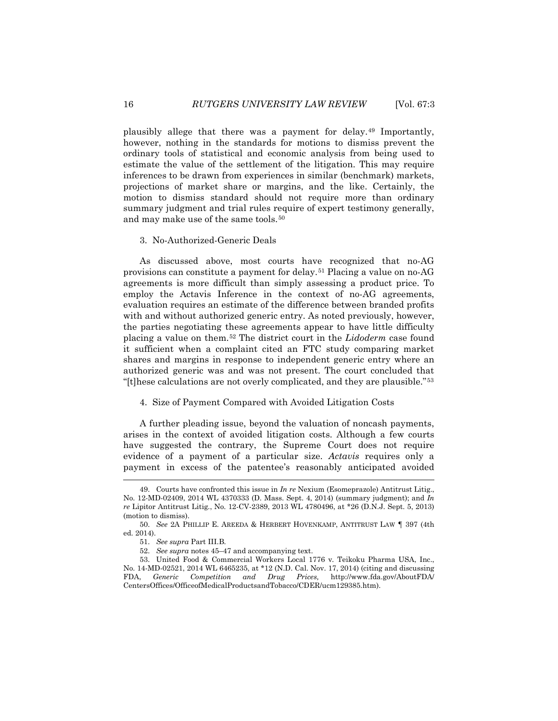plausibly allege that there was a payment for delay.[49](#page-15-0) Importantly, however, nothing in the standards for motions to dismiss prevent the ordinary tools of statistical and economic analysis from being used to estimate the value of the settlement of the litigation. This may require inferences to be drawn from experiences in similar (benchmark) markets, projections of market share or margins, and the like. Certainly, the motion to dismiss standard should not require more than ordinary summary judgment and trial rules require of expert testimony generally, and may make use of the same tools.[50](#page-15-1)

3. No-Authorized-Generic Deals

As discussed above, most courts have recognized that no-AG provisions can constitute a payment for delay.[51](#page-15-2) Placing a value on no-AG agreements is more difficult than simply assessing a product price. To employ the Actavis Inference in the context of no-AG agreements, evaluation requires an estimate of the difference between branded profits with and without authorized generic entry. As noted previously, however, the parties negotiating these agreements appear to have little difficulty placing a value on them.[52](#page-15-3) The district court in the *Lidoderm* case found it sufficient when a complaint cited an FTC study comparing market shares and margins in response to independent generic entry where an authorized generic was and was not present. The court concluded that "[t]hese calculations are not overly complicated, and they are plausible."[53](#page-15-4)

### 4. Size of Payment Compared with Avoided Litigation Costs

A further pleading issue, beyond the valuation of noncash payments, arises in the context of avoided litigation costs. Although a few courts have suggested the contrary, the Supreme Court does not require evidence of a payment of a particular size. *Actavis* requires only a payment in excess of the patentee's reasonably anticipated avoided

<span id="page-15-0"></span><sup>49.</sup> Courts have confronted this issue in *In re* Nexium (Esomeprazole) Antitrust Litig., No. 12-MD-02409, 2014 WL 4370333 (D. Mass. Sept. 4, 2014) (summary judgment); and *In re* Lipitor Antitrust Litig., No. 12-CV-2389, 2013 WL 4780496, at \*26 (D.N.J. Sept. 5, 2013) (motion to dismiss).

<span id="page-15-2"></span><span id="page-15-1"></span><sup>50.</sup> *See* 2A PHILLIP E. AREEDA & HERBERT HOVENKAMP, ANTITRUST LAW ¶ 397 (4th ed. 2014).

<sup>51.</sup> *See supra* Part III.B.

<sup>52.</sup> *See supra* notes 45–47 and accompanying text.

<span id="page-15-4"></span><span id="page-15-3"></span><sup>53.</sup> United Food & Commercial Workers Local 1776 v. Teikoku Pharma USA, Inc., No. 14-MD-02521, 2014 WL 6465235, at \*12 (N.D. Cal. Nov. 17, 2014) (citing and discussing FDA, *Generic Competition and Drug Prices,* http://www.fda.gov/AboutFDA/ CentersOffices/OfficeofMedicalProductsandTobacco/CDER/ucm129385.htm).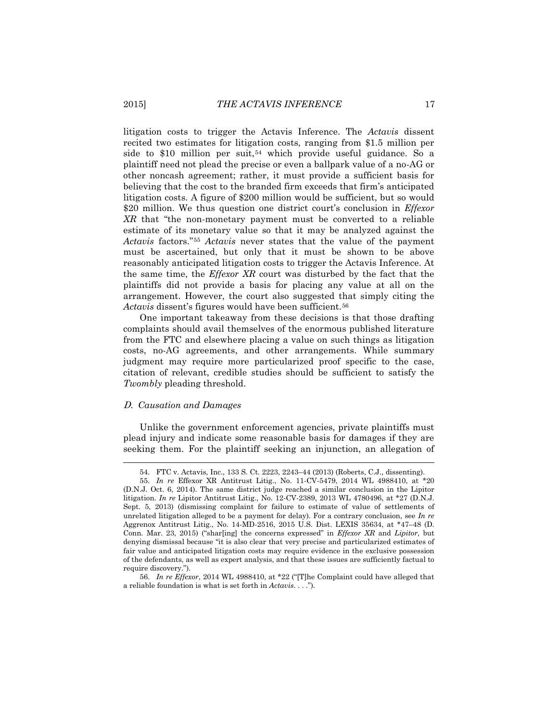litigation costs to trigger the Actavis Inference. The *Actavis* dissent recited two estimates for litigation costs, ranging from \$1.5 million per side to \$10 million per suit,<sup>[54](#page-16-0)</sup> which provide useful guidance. So a plaintiff need not plead the precise or even a ballpark value of a no-AG or other noncash agreement; rather, it must provide a sufficient basis for believing that the cost to the branded firm exceeds that firm's anticipated litigation costs. A figure of \$200 million would be sufficient, but so would \$20 million. We thus question one district court's conclusion in *Effexor XR* that "the non-monetary payment must be converted to a reliable estimate of its monetary value so that it may be analyzed against the *Actavis* factors."[55](#page-16-1) *Actavis* never states that the value of the payment must be ascertained, but only that it must be shown to be above reasonably anticipated litigation costs to trigger the Actavis Inference. At the same time, the *Effexor XR* court was disturbed by the fact that the plaintiffs did not provide a basis for placing any value at all on the arrangement. However, the court also suggested that simply citing the Actavis dissent's figures would have been sufficient.<sup>[56](#page-16-2)</sup>

One important takeaway from these decisions is that those drafting complaints should avail themselves of the enormous published literature from the FTC and elsewhere placing a value on such things as litigation costs, no-AG agreements, and other arrangements. While summary judgment may require more particularized proof specific to the case, citation of relevant, credible studies should be sufficient to satisfy the *Twombly* pleading threshold.

### D. *Causation and Damages*

<u>.</u>

Unlike the government enforcement agencies, private plaintiffs must plead injury and indicate some reasonable basis for damages if they are seeking them. For the plaintiff seeking an injunction, an allegation of

<sup>54.</sup> FTC v. Actavis, Inc., 133 S. Ct. 2223, 2243–44 (2013) (Roberts, C.J., dissenting).

<span id="page-16-1"></span><span id="page-16-0"></span><sup>55.</sup> *In re* Effexor XR Antitrust Litig., No. 11-CV-5479, 2014 WL 4988410, at \*20 (D.N.J. Oct. 6, 2014). The same district judge reached a similar conclusion in the Lipitor litigation. *In re* Lipitor Antitrust Litig., No. 12-CV-2389, 2013 WL 4780496, at \*27 (D.N.J. Sept. 5, 2013) (dismissing complaint for failure to estimate of value of settlements of unrelated litigation alleged to be a payment for delay). For a contrary conclusion, see *In re* Aggrenox Antitrust Litig., No. 14-MD-2516, 2015 U.S. Dist. LEXIS 35634, at \*47–48 (D. Conn. Mar. 23, 2015) ("shar[ing] the concerns expressed" in *Effexor XR* and *Lipitor*, but denying dismissal because "it is also clear that very precise and particularized estimates of fair value and anticipated litigation costs may require evidence in the exclusive possession of the defendants, as well as expert analysis, and that these issues are sufficiently factual to require discovery.").

<span id="page-16-2"></span><sup>56.</sup> *In re Effexor*, 2014 WL 4988410, at \*22 ("[T]he Complaint could have alleged that a reliable foundation is what is set forth in *Actavis*. . . .").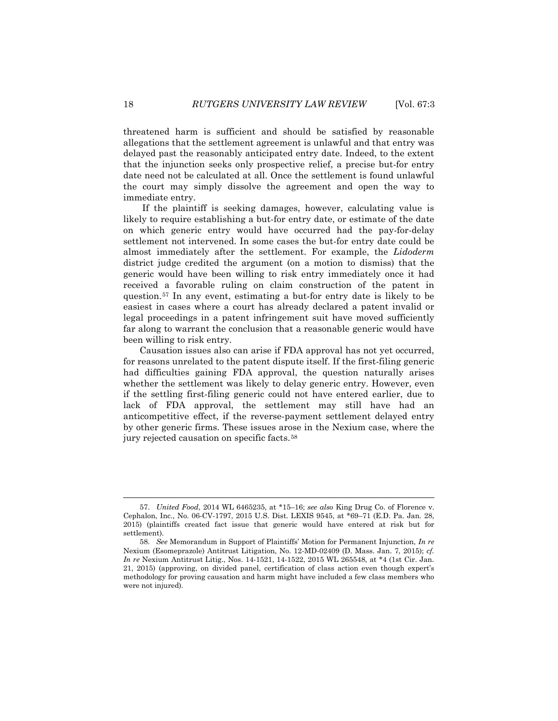threatened harm is sufficient and should be satisfied by reasonable allegations that the settlement agreement is unlawful and that entry was delayed past the reasonably anticipated entry date. Indeed, to the extent that the injunction seeks only prospective relief, a precise but-for entry date need not be calculated at all. Once the settlement is found unlawful the court may simply dissolve the agreement and open the way to immediate entry.

If the plaintiff is seeking damages, however, calculating value is likely to require establishing a but-for entry date, or estimate of the date on which generic entry would have occurred had the pay-for-delay settlement not intervened. In some cases the but-for entry date could be almost immediately after the settlement. For example, the *Lidoderm* district judge credited the argument (on a motion to dismiss) that the generic would have been willing to risk entry immediately once it had received a favorable ruling on claim construction of the patent in question.[57](#page-17-0) In any event, estimating a but-for entry date is likely to be easiest in cases where a court has already declared a patent invalid or legal proceedings in a patent infringement suit have moved sufficiently far along to warrant the conclusion that a reasonable generic would have been willing to risk entry.

Causation issues also can arise if FDA approval has not yet occurred, for reasons unrelated to the patent dispute itself. If the first-filing generic had difficulties gaining FDA approval, the question naturally arises whether the settlement was likely to delay generic entry. However, even if the settling first-filing generic could not have entered earlier, due to lack of FDA approval, the settlement may still have had an anticompetitive effect, if the reverse-payment settlement delayed entry by other generic firms. These issues arose in the Nexium case, where the jury rejected causation on specific facts.<sup>[58](#page-17-1)</sup>

<span id="page-17-0"></span><sup>57.</sup> *United Food*, 2014 WL 6465235, at \*15–16; *see also* King Drug Co. of Florence v. Cephalon, Inc., No. 06-CV-1797, 2015 U.S. Dist. LEXIS 9545, at \*69–71 (E.D. Pa. Jan. 28, 2015) (plaintiffs created fact issue that generic would have entered at risk but for settlement).

<span id="page-17-1"></span><sup>58.</sup> *See* Memorandum in Support of Plaintiffs' Motion for Permanent Injunction, *In re* Nexium (Esomeprazole) Antitrust Litigation, No. 12-MD-02409 (D. Mass. Jan. 7, 2015); *cf. In re* Nexium Antitrust Litig., Nos. 14-1521, 14-1522, 2015 WL 265548, at \*4 (1st Cir. Jan. 21, 2015) (approving, on divided panel, certification of class action even though expert's methodology for proving causation and harm might have included a few class members who were not injured).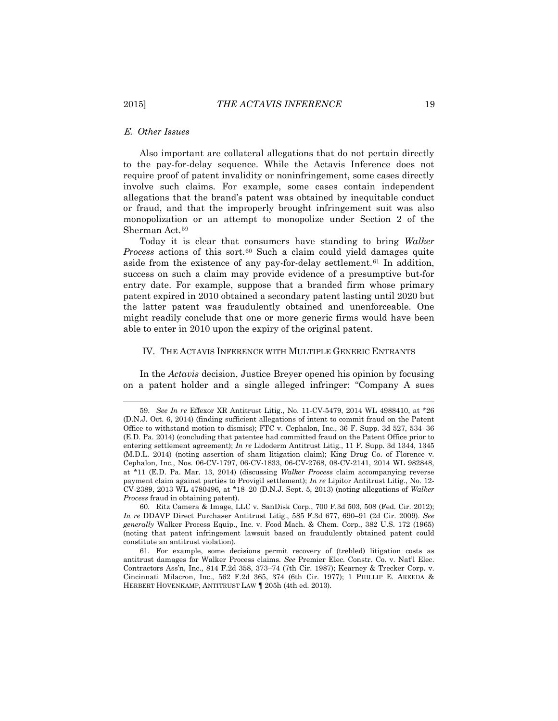### E. *Other Issues*

Also important are collateral allegations that do not pertain directly to the pay-for-delay sequence. While the Actavis Inference does not require proof of patent invalidity or noninfringement, some cases directly involve such claims. For example, some cases contain independent allegations that the brand's patent was obtained by inequitable conduct or fraud, and that the improperly brought infringement suit was also monopolization or an attempt to monopolize under Section 2 of the Sherman Act.[59](#page-18-0)

Today it is clear that consumers have standing to bring *Walker Process* actions of this sort.<sup>[60](#page-18-1)</sup> Such a claim could yield damages quite aside from the existence of any pay-for-delay settlement.[61](#page-18-2) In addition, success on such a claim may provide evidence of a presumptive but-for entry date. For example, suppose that a branded firm whose primary patent expired in 2010 obtained a secondary patent lasting until 2020 but the latter patent was fraudulently obtained and unenforceable. One might readily conclude that one or more generic firms would have been able to enter in 2010 upon the expiry of the original patent.

## IV. THE ACTAVIS INFERENCE WITH MULTIPLE GENERIC ENTRANTS

In the *Actavis* decision, Justice Breyer opened his opinion by focusing on a patent holder and a single alleged infringer: "Company A sues

<span id="page-18-0"></span><sup>59.</sup> *See In re* Effexor XR Antitrust Litig., No. 11-CV-5479, 2014 WL 4988410, at \*26 (D.N.J. Oct. 6, 2014) (finding sufficient allegations of intent to commit fraud on the Patent Office to withstand motion to dismiss); FTC v. Cephalon, Inc., 36 F. Supp. 3d 527, 534–36 (E.D. Pa. 2014) (concluding that patentee had committed fraud on the Patent Office prior to entering settlement agreement); *In re* Lidoderm Antitrust Litig., 11 F. Supp. 3d 1344, 1345 (M.D.L. 2014) (noting assertion of sham litigation claim); King Drug Co. of Florence v. Cephalon, Inc., Nos. 06-CV-1797, 06-CV-1833, 06-CV-2768, 08-CV-2141, 2014 WL 982848, at \*11 (E.D. Pa. Mar. 13, 2014) (discussing *Walker Process* claim accompanying reverse payment claim against parties to Provigil settlement); *In re* Lipitor Antitrust Litig., No. 12- CV-2389, 2013 WL 4780496, at \*18–20 (D.N.J. Sept. 5, 2013) (noting allegations of *Walker Process* fraud in obtaining patent).

<span id="page-18-1"></span><sup>60.</sup> Ritz Camera & Image, LLC v. SanDisk Corp., 700 F.3d 503, 508 (Fed. Cir. 2012); *In re* DDAVP Direct Purchaser Antitrust Litig., 585 F.3d 677, 690–91 (2d Cir. 2009). *See generally* Walker Process Equip., Inc. v. Food Mach. & Chem. Corp., 382 U.S. 172 (1965) (noting that patent infringement lawsuit based on fraudulently obtained patent could constitute an antitrust violation).

<span id="page-18-2"></span><sup>61.</sup> For example, some decisions permit recovery of (trebled) litigation costs as antitrust damages for Walker Process claims. *See* Premier Elec. Constr. Co. v. Nat'l Elec. Contractors Ass'n, Inc., 814 F.2d 358, 373–74 (7th Cir. 1987); Kearney & Trecker Corp. v. Cincinnati Milacron, Inc., 562 F.2d 365, 374 (6th Cir. 1977); 1 PHILLIP E. AREEDA & HERBERT HOVENKAMP, ANTITRUST LAW ¶ 205h (4th ed. 2013).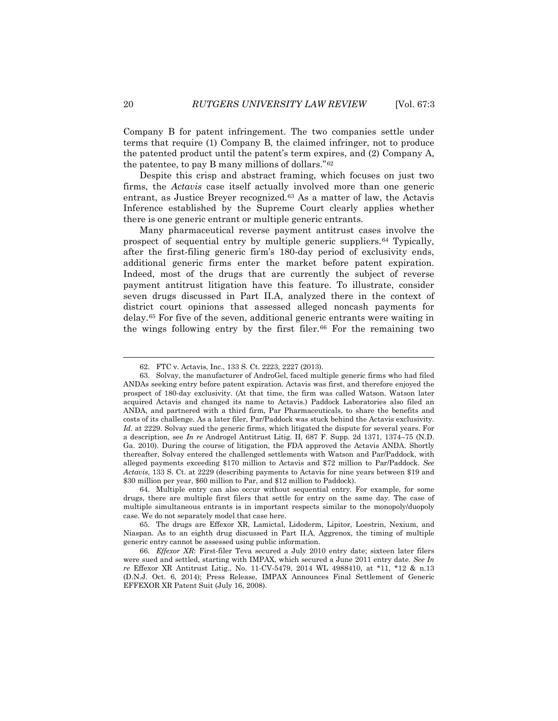Company B for patent infringement. The two companies settle under terms that require (1) Company B, the claimed infringer, not to produce the patented product until the patent's term expires, and (2) Company A, the patentee, to pay B many millions of dollars."[62](#page-19-0)

Despite this crisp and abstract framing, which focuses on just two firms, the *Actavis* case itself actually involved more than one generic entrant, as Justice Breyer recognized.[63](#page-19-1) As a matter of law, the Actavis Inference established by the Supreme Court clearly applies whether there is one generic entrant or multiple generic entrants.

Many pharmaceutical reverse payment antitrust cases involve the prospect of sequential entry by multiple generic suppliers.[64](#page-19-2) Typically, after the first-filing generic firm's 180-day period of exclusivity ends, additional generic firms enter the market before patent expiration. Indeed, most of the drugs that are currently the subject of reverse payment antitrust litigation have this feature. To illustrate, consider seven drugs discussed in Part II.A, analyzed there in the context of district court opinions that assessed alleged noncash payments for delay.[65](#page-19-3) For five of the seven, additional generic entrants were waiting in the wings following entry by the first filer.[66](#page-19-4) For the remaining two

<span id="page-19-2"></span>64. Multiple entry can also occur without sequential entry. For example, for some drugs, there are multiple first filers that settle for entry on the same day. The case of multiple simultaneous entrants is in important respects similar to the monopoly/duopoly case. We do not separately model that case here.

<span id="page-19-3"></span>65. The drugs are Effexor XR, Lamictal, Lidoderm, Lipitor, Loestrin, Nexium, and Niaspan. As to an eighth drug discussed in Part II.A, Aggrenox, the timing of multiple generic entry cannot be assessed using public information.

<sup>62.</sup> FTC v. Actavis, Inc., 133 S. Ct. 2223, 2227 (2013).

<span id="page-19-1"></span><span id="page-19-0"></span><sup>63.</sup> Solvay, the manufacturer of AndroGel, faced multiple generic firms who had filed ANDAs seeking entry before patent expiration. Actavis was first, and therefore enjoyed the prospect of 180-day exclusivity. (At that time, the firm was called Watson. Watson later acquired Actavis and changed its name to Actavis.) Paddock Laboratories also filed an ANDA, and partnered with a third firm, Par Pharmaceuticals, to share the benefits and costs of its challenge. As a later filer, Par/Paddock was stuck behind the Actavis exclusivity. *Id.* at 2229. Solvay sued the generic firms, which litigated the dispute for several years. For a description, see *In re* Androgel Antitrust Litig. II, 687 F. Supp. 2d 1371, 1374–75 (N.D. Ga. 2010). During the course of litigation, the FDA approved the Actavis ANDA. Shortly thereafter, Solvay entered the challenged settlements with Watson and Par/Paddock, with alleged payments exceeding \$170 million to Actavis and \$72 million to Par/Paddock. *See Actavis*, 133 S. Ct. at 2229 (describing payments to Actavis for nine years between \$19 and \$30 million per year, \$60 million to Par, and \$12 million to Paddock).

<span id="page-19-4"></span><sup>66</sup>*. Effexor XR*: First-filer Teva secured a July 2010 entry date; sixteen later filers were sued and settled, starting with IMPAX, which secured a June 2011 entry date. *See In re* Effexor XR Antitrust Litig., No. 11-CV-5479, 2014 WL 4988410, at \*11, \*12 & n.13 (D.N.J. Oct. 6, 2014); Press Release, IMPAX Announces Final Settlement of Generic EFFEXOR XR Patent Suit (July 16, 2008).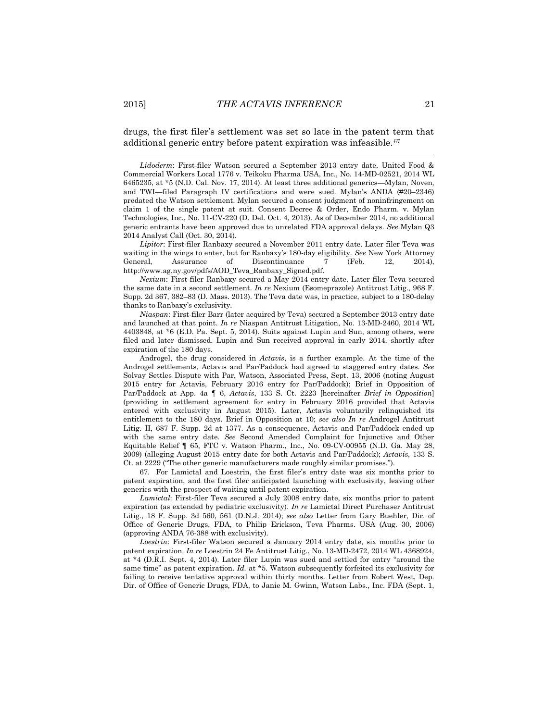drugs, the first filer's settlement was set so late in the patent term that additional generic entry before patent expiration was infeasible.<sup>[67](#page-20-0)</sup>

*Lipitor*: First-filer Ranbaxy secured a November 2011 entry date. Later filer Teva was waiting in the wings to enter, but for Ranbaxy's 180-day eligibility. *See* New York Attorney General, Assurance of Discontinuance 7 (Feb. 12, 2014), http://www.ag.ny.gov/pdfs/AOD\_Teva\_Ranbaxy\_Signed.pdf.

*Nexium*: First-filer Ranbaxy secured a May 2014 entry date. Later filer Teva secured the same date in a second settlement. *In re* Nexium (Esomeprazole) Antitrust Litig., 968 F. Supp. 2d 367, 382–83 (D. Mass. 2013). The Teva date was, in practice, subject to a 180-delay thanks to Ranbaxy's exclusivity.

*Niaspan*: First-filer Barr (later acquired by Teva) secured a September 2013 entry date and launched at that point. *In re* Niaspan Antitrust Litigation, No. 13-MD-2460, 2014 WL 4403848, at \*6 (E.D. Pa. Sept. 5, 2014). Suits against Lupin and Sun, among others, were filed and later dismissed. Lupin and Sun received approval in early 2014, shortly after expiration of the 180 days.

Androgel, the drug considered in *Actavis*, is a further example. At the time of the Androgel settlements, Actavis and Par/Paddock had agreed to staggered entry dates. *See* Solvay Settles Dispute with Par, Watson, Associated Press, Sept. 13, 2006 (noting August 2015 entry for Actavis, February 2016 entry for Par/Paddock); Brief in Opposition of Par/Paddock at App. 4a ¶ 6, *Actavis*, 133 S. Ct. 2223 [hereinafter *Brief in Opposition*] (providing in settlement agreement for entry in February 2016 provided that Actavis entered with exclusivity in August 2015). Later, Actavis voluntarily relinquished its entitlement to the 180 days. Brief in Opposition at 10; *see also In re* Androgel Antitrust Litig. II, 687 F. Supp. 2d at 1377. As a consequence, Actavis and Par/Paddock ended up with the same entry date. *See* Second Amended Complaint for Injunctive and Other Equitable Relief ¶ 65, FTC v. Watson Pharm., Inc., No. 09-CV-00955 (N.D. Ga. May 28, 2009) (alleging August 2015 entry date for both Actavis and Par/Paddock); *Actavis*, 133 S. Ct. at 2229 ("The other generic manufacturers made roughly similar promises.").

<span id="page-20-0"></span>67. For Lamictal and Loestrin, the first filer's entry date was six months prior to patent expiration, and the first filer anticipated launching with exclusivity, leaving other generics with the prospect of waiting until patent expiration.

*Lamictal*: First-filer Teva secured a July 2008 entry date, six months prior to patent expiration (as extended by pediatric exclusivity). *In re* Lamictal Direct Purchaser Antitrust Litig., 18 F. Supp. 3d 560, 561 (D.N.J. 2014); *see also* Letter from Gary Buehler, Dir. of Office of Generic Drugs, FDA, to Philip Erickson, Teva Pharms. USA (Aug. 30, 2006) (approving ANDA 76-388 with exclusivity).

*Loestrin*: First-filer Watson secured a January 2014 entry date, six months prior to patent expiration. *In re* Loestrin 24 Fe Antitrust Litig., No. 13-MD-2472, 2014 WL 4368924, at \*4 (D.R.I. Sept. 4, 2014). Later filer Lupin was sued and settled for entry "around the same time" as patent expiration. *Id.* at \*5. Watson subsequently forfeited its exclusivity for failing to receive tentative approval within thirty months. Letter from Robert West, Dep. Dir. of Office of Generic Drugs, FDA, to Janie M. Gwinn, Watson Labs., Inc. FDA (Sept. 1,

*Lidoderm*: First-filer Watson secured a September 2013 entry date. United Food & Commercial Workers Local 1776 v. Teikoku Pharma USA, Inc., No. 14-MD-02521, 2014 WL 6465235, at \*5 (N.D. Cal. Nov. 17, 2014). At least three additional generics—Mylan, Noven, and TWI—filed Paragraph IV certifications and were sued. Mylan's ANDA (#20–2346) predated the Watson settlement. Mylan secured a consent judgment of noninfringement on claim 1 of the single patent at suit. Consent Decree & Order, Endo Pharm. v. Mylan Technologies, Inc., No. 11-CV-220 (D. Del. Oct. 4, 2013). As of December 2014, no additional generic entrants have been approved due to unrelated FDA approval delays. *See* Mylan Q3 2014 Analyst Call (Oct. 30, 2014).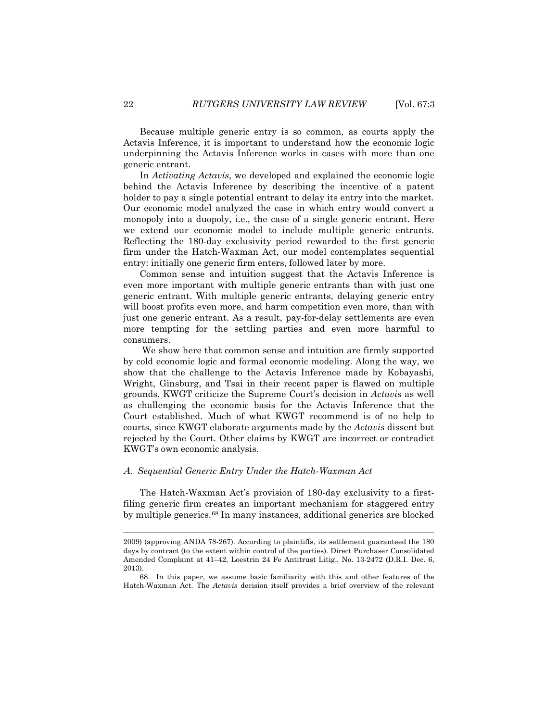Because multiple generic entry is so common, as courts apply the Actavis Inference, it is important to understand how the economic logic underpinning the Actavis Inference works in cases with more than one generic entrant.

In *Activating Actavis*, we developed and explained the economic logic behind the Actavis Inference by describing the incentive of a patent holder to pay a single potential entrant to delay its entry into the market. Our economic model analyzed the case in which entry would convert a monopoly into a duopoly, i.e., the case of a single generic entrant. Here we extend our economic model to include multiple generic entrants. Reflecting the 180-day exclusivity period rewarded to the first generic firm under the Hatch-Waxman Act, our model contemplates sequential entry: initially one generic firm enters, followed later by more.

Common sense and intuition suggest that the Actavis Inference is even more important with multiple generic entrants than with just one generic entrant. With multiple generic entrants, delaying generic entry will boost profits even more, and harm competition even more, than with just one generic entrant. As a result, pay-for-delay settlements are even more tempting for the settling parties and even more harmful to consumers.

We show here that common sense and intuition are firmly supported by cold economic logic and formal economic modeling. Along the way, we show that the challenge to the Actavis Inference made by Kobayashi, Wright, Ginsburg, and Tsai in their recent paper is flawed on multiple grounds. KWGT criticize the Supreme Court's decision in *Actavis* as well as challenging the economic basis for the Actavis Inference that the Court established. Much of what KWGT recommend is of no help to courts, since KWGT elaborate arguments made by the *Actavis* dissent but rejected by the Court. Other claims by KWGT are incorrect or contradict KWGT's own economic analysis.

### A. *Sequential Generic Entry Under the Hatch-Waxman Act*

The Hatch-Waxman Act's provision of 180-day exclusivity to a firstfiling generic firm creates an important mechanism for staggered entry by multiple generics.[68](#page-21-0) In many instances, additional generics are blocked

<sup>2009) (</sup>approving ANDA 78-267). According to plaintiffs, its settlement guaranteed the 180 days by contract (to the extent within control of the parties). Direct Purchaser Consolidated Amended Complaint at 41–42, Loestrin 24 Fe Antitrust Litig., No. 13-2472 (D.R.I. Dec. 6, 2013).

<span id="page-21-0"></span><sup>68.</sup> In this paper, we assume basic familiarity with this and other features of the Hatch-Waxman Act. The *Actavis* decision itself provides a brief overview of the relevant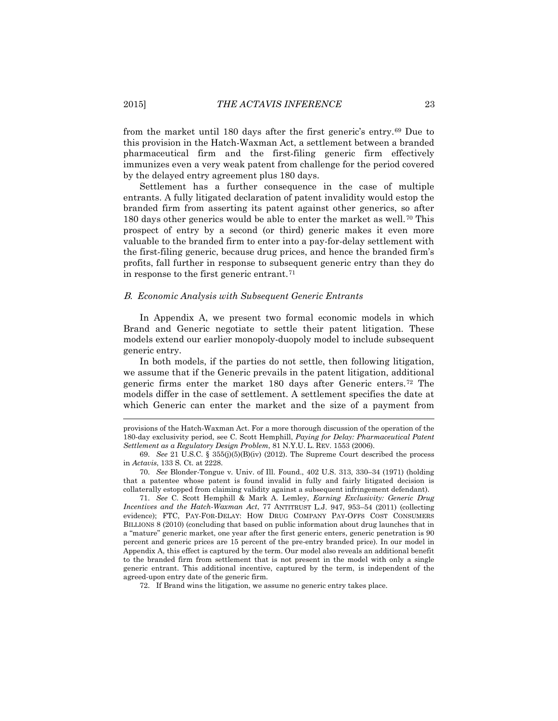from the market until 180 days after the first generic's entry.[69](#page-22-0) Due to this provision in the Hatch-Waxman Act, a settlement between a branded pharmaceutical firm and the first-filing generic firm effectively immunizes even a very weak patent from challenge for the period covered by the delayed entry agreement plus 180 days.

Settlement has a further consequence in the case of multiple entrants. A fully litigated declaration of patent invalidity would estop the branded firm from asserting its patent against other generics, so after 180 days other generics would be able to enter the market as well.<sup>[70](#page-22-1)</sup> This prospect of entry by a second (or third) generic makes it even more valuable to the branded firm to enter into a pay-for-delay settlement with the first-filing generic, because drug prices, and hence the branded firm's profits, fall further in response to subsequent generic entry than they do in response to the first generic entrant.[71](#page-22-2)

### B. *Economic Analysis with Subsequent Generic Entrants*

In Appendix A, we present two formal economic models in which Brand and Generic negotiate to settle their patent litigation. These models extend our earlier monopoly-duopoly model to include subsequent generic entry.

In both models, if the parties do not settle, then following litigation, we assume that if the Generic prevails in the patent litigation, additional generic firms enter the market 180 days after Generic enters.[72](#page-22-3) The models differ in the case of settlement. A settlement specifies the date at which Generic can enter the market and the size of a payment from

<span id="page-22-3"></span>72. If Brand wins the litigation, we assume no generic entry takes place.

provisions of the Hatch-Waxman Act. For a more thorough discussion of the operation of the 180-day exclusivity period, see C. Scott Hemphill, *Paying for Delay: Pharmaceutical Patent Settlement as a Regulatory Design Problem*, 81 N.Y.U. L. REV. 1553 (2006).

<span id="page-22-0"></span><sup>69.</sup> *See* 21 U.S.C. § 355(j)(5)(B)(iv) (2012). The Supreme Court described the process in *Actavis*, 133 S. Ct. at 2228.

<span id="page-22-1"></span><sup>70.</sup> *See* Blonder-Tongue v. Univ. of Ill. Found., 402 U.S. 313, 330–34 (1971) (holding that a patentee whose patent is found invalid in fully and fairly litigated decision is collaterally estopped from claiming validity against a subsequent infringement defendant).

<span id="page-22-2"></span><sup>71.</sup> *See* C. Scott Hemphill & Mark A. Lemley, *Earning Exclusivity: Generic Drug Incentives and the Hatch-Waxman Act*, 77 ANTITRUST L.J. 947, 953–54 (2011) (collecting evidence); FTC, PAY-FOR-DELAY: HOW DRUG COMPANY PAY-OFFS COST CONSUMERS BILLIONS 8 (2010) (concluding that based on public information about drug launches that in a "mature" generic market, one year after the first generic enters, generic penetration is 90 percent and generic prices are 15 percent of the pre-entry branded price). In our model in Appendix A, this effect is captured by the term. Our model also reveals an additional benefit to the branded firm from settlement that is not present in the model with only a single generic entrant. This additional incentive, captured by the term, is independent of the agreed-upon entry date of the generic firm.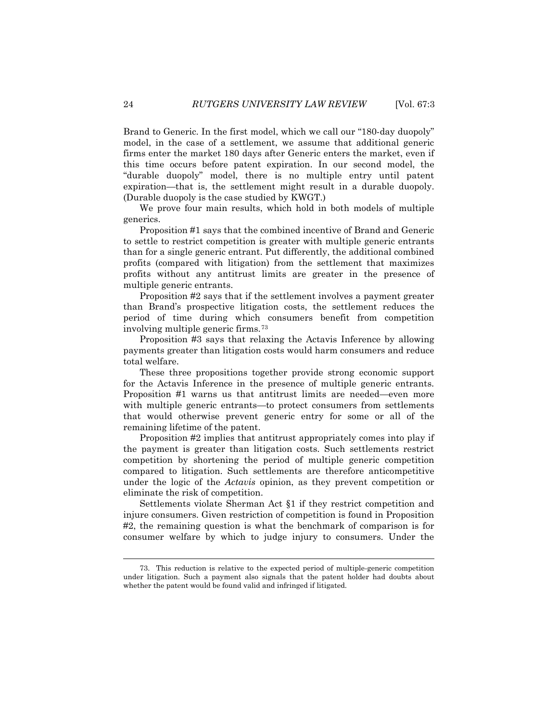Brand to Generic. In the first model, which we call our "180-day duopoly" model, in the case of a settlement, we assume that additional generic firms enter the market 180 days after Generic enters the market, even if this time occurs before patent expiration. In our second model, the "durable duopoly" model, there is no multiple entry until patent expiration—that is, the settlement might result in a durable duopoly. (Durable duopoly is the case studied by KWGT.)

We prove four main results, which hold in both models of multiple generics.

Proposition #1 says that the combined incentive of Brand and Generic to settle to restrict competition is greater with multiple generic entrants than for a single generic entrant. Put differently, the additional combined profits (compared with litigation) from the settlement that maximizes profits without any antitrust limits are greater in the presence of multiple generic entrants.

Proposition #2 says that if the settlement involves a payment greater than Brand's prospective litigation costs, the settlement reduces the period of time during which consumers benefit from competition involving multiple generic firms.[73](#page-23-0)

Proposition #3 says that relaxing the Actavis Inference by allowing payments greater than litigation costs would harm consumers and reduce total welfare.

These three propositions together provide strong economic support for the Actavis Inference in the presence of multiple generic entrants. Proposition #1 warns us that antitrust limits are needed—even more with multiple generic entrants—to protect consumers from settlements that would otherwise prevent generic entry for some or all of the remaining lifetime of the patent.

Proposition #2 implies that antitrust appropriately comes into play if the payment is greater than litigation costs. Such settlements restrict competition by shortening the period of multiple generic competition compared to litigation. Such settlements are therefore anticompetitive under the logic of the *Actavis* opinion, as they prevent competition or eliminate the risk of competition.

Settlements violate Sherman Act §1 if they restrict competition and injure consumers. Given restriction of competition is found in Proposition #2, the remaining question is what the benchmark of comparison is for consumer welfare by which to judge injury to consumers. Under the

<span id="page-23-0"></span><sup>73.</sup> This reduction is relative to the expected period of multiple-generic competition under litigation. Such a payment also signals that the patent holder had doubts about whether the patent would be found valid and infringed if litigated.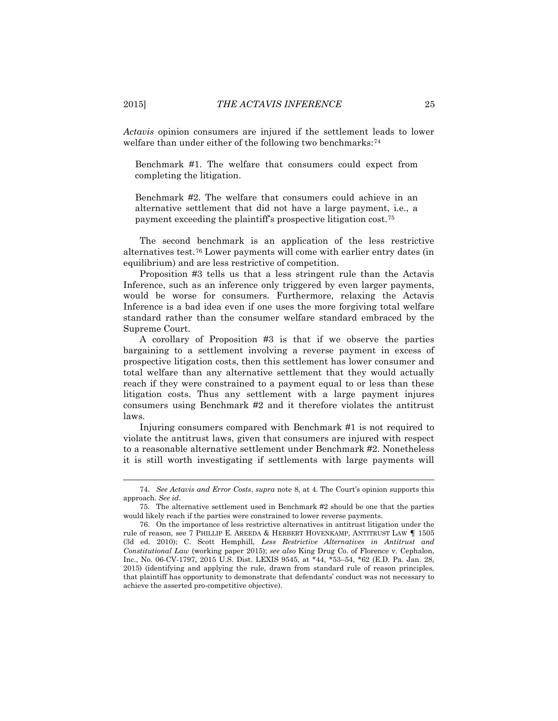*Actavis* opinion consumers are injured if the settlement leads to lower welfare than under either of the following two benchmarks:<sup>[74](#page-24-0)</sup>

Benchmark #1. The welfare that consumers could expect from completing the litigation.

Benchmark #2. The welfare that consumers could achieve in an alternative settlement that did not have a large payment, i.e., a payment exceeding the plaintiff's prospective litigation cost.[75](#page-24-1)

The second benchmark is an application of the less restrictive alternatives test.[76](#page-24-2) Lower payments will come with earlier entry dates (in equilibrium) and are less restrictive of competition.

Proposition #3 tells us that a less stringent rule than the Actavis Inference, such as an inference only triggered by even larger payments, would be worse for consumers. Furthermore, relaxing the Actavis Inference is a bad idea even if one uses the more forgiving total welfare standard rather than the consumer welfare standard embraced by the Supreme Court.

A corollary of Proposition #3 is that if we observe the parties bargaining to a settlement involving a reverse payment in excess of prospective litigation costs, then this settlement has lower consumer and total welfare than any alternative settlement that they would actually reach if they were constrained to a payment equal to or less than these litigation costs. Thus any settlement with a large payment injures consumers using Benchmark #2 and it therefore violates the antitrust laws.

Injuring consumers compared with Benchmark #1 is not required to violate the antitrust laws, given that consumers are injured with respect to a reasonable alternative settlement under Benchmark #2. Nonetheless it is still worth investigating if settlements with large payments will

<span id="page-24-0"></span><sup>74.</sup> *See Actavis and Error Costs*, *supra* note 8, at 4. The Court's opinion supports this approach. *See id*.

<span id="page-24-1"></span><sup>75.</sup> The alternative settlement used in Benchmark #2 should be one that the parties would likely reach if the parties were constrained to lower reverse payments.

<span id="page-24-2"></span><sup>76.</sup> On the importance of less restrictive alternatives in antitrust litigation under the rule of reason, see 7 PHILLIP E. AREEDA & HERBERT HOVENKAMP, ANTITRUST LAW **¶** 1505 (3d ed. 2010); C. Scott Hemphill, *Less Restrictive Alternatives in Antitrust and Constitutional Law* (working paper 2015); *see also* King Drug Co. of Florence v. Cephalon, Inc., No. 06-CV-1797, 2015 U.S. Dist. LEXIS 9545, at \*44, \*53–54, \*62 (E.D. Pa. Jan. 28, 2015) (identifying and applying the rule, drawn from standard rule of reason principles, that plaintiff has opportunity to demonstrate that defendants' conduct was not necessary to achieve the asserted pro-competitive objective).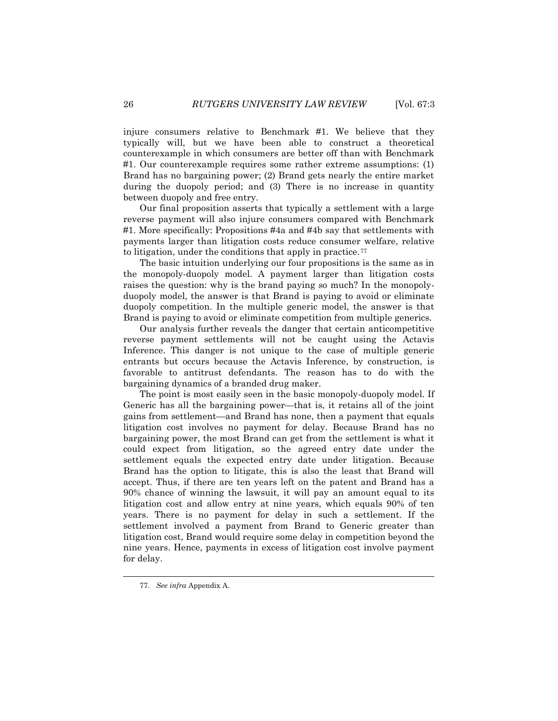injure consumers relative to Benchmark #1. We believe that they typically will, but we have been able to construct a theoretical counterexample in which consumers are better off than with Benchmark #1. Our counterexample requires some rather extreme assumptions: (1) Brand has no bargaining power; (2) Brand gets nearly the entire market during the duopoly period; and (3) There is no increase in quantity between duopoly and free entry.

Our final proposition asserts that typically a settlement with a large reverse payment will also injure consumers compared with Benchmark #1. More specifically: Propositions #4a and #4b say that settlements with payments larger than litigation costs reduce consumer welfare, relative to litigation, under the conditions that apply in practice.<sup>[77](#page-25-0)</sup>

The basic intuition underlying our four propositions is the same as in the monopoly-duopoly model. A payment larger than litigation costs raises the question: why is the brand paying so much? In the monopolyduopoly model, the answer is that Brand is paying to avoid or eliminate duopoly competition. In the multiple generic model, the answer is that Brand is paying to avoid or eliminate competition from multiple generics.

Our analysis further reveals the danger that certain anticompetitive reverse payment settlements will not be caught using the Actavis Inference. This danger is not unique to the case of multiple generic entrants but occurs because the Actavis Inference, by construction, is favorable to antitrust defendants. The reason has to do with the bargaining dynamics of a branded drug maker.

The point is most easily seen in the basic monopoly-duopoly model. If Generic has all the bargaining power—that is, it retains all of the joint gains from settlement—and Brand has none, then a payment that equals litigation cost involves no payment for delay. Because Brand has no bargaining power, the most Brand can get from the settlement is what it could expect from litigation, so the agreed entry date under the settlement equals the expected entry date under litigation. Because Brand has the option to litigate, this is also the least that Brand will accept. Thus, if there are ten years left on the patent and Brand has a 90% chance of winning the lawsuit, it will pay an amount equal to its litigation cost and allow entry at nine years, which equals 90% of ten years. There is no payment for delay in such a settlement. If the settlement involved a payment from Brand to Generic greater than litigation cost, Brand would require some delay in competition beyond the nine years. Hence, payments in excess of litigation cost involve payment for delay.

<span id="page-25-0"></span>77. *See infra* Appendix A.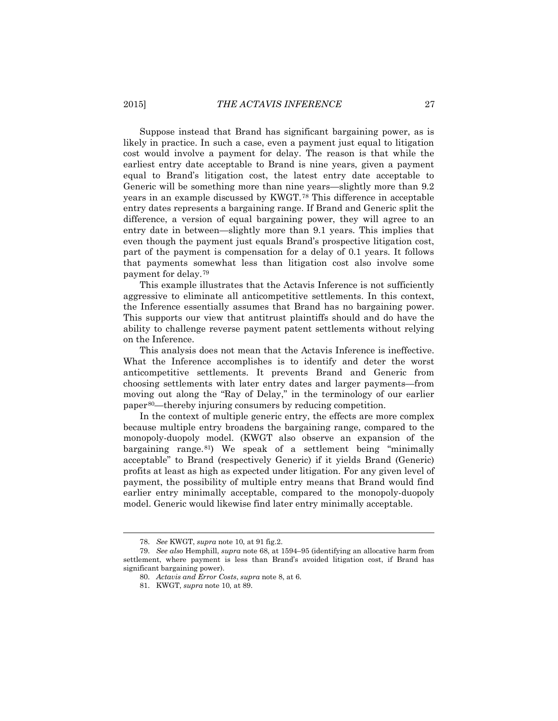Suppose instead that Brand has significant bargaining power, as is likely in practice. In such a case, even a payment just equal to litigation cost would involve a payment for delay. The reason is that while the earliest entry date acceptable to Brand is nine years, given a payment equal to Brand's litigation cost, the latest entry date acceptable to Generic will be something more than nine years—slightly more than 9.2 years in an example discussed by KWGT.[78](#page-26-0) This difference in acceptable entry dates represents a bargaining range. If Brand and Generic split the difference, a version of equal bargaining power, they will agree to an entry date in between—slightly more than 9.1 years. This implies that even though the payment just equals Brand's prospective litigation cost, part of the payment is compensation for a delay of 0.1 years. It follows that payments somewhat less than litigation cost also involve some payment for delay.[79](#page-26-1)

This example illustrates that the Actavis Inference is not sufficiently aggressive to eliminate all anticompetitive settlements. In this context, the Inference essentially assumes that Brand has no bargaining power. This supports our view that antitrust plaintiffs should and do have the ability to challenge reverse payment patent settlements without relying on the Inference.

This analysis does not mean that the Actavis Inference is ineffective. What the Inference accomplishes is to identify and deter the worst anticompetitive settlements. It prevents Brand and Generic from choosing settlements with later entry dates and larger payments—from moving out along the "Ray of Delay," in the terminology of our earlier paper[80—](#page-26-2)thereby injuring consumers by reducing competition.

In the context of multiple generic entry, the effects are more complex because multiple entry broadens the bargaining range, compared to the monopoly-duopoly model. (KWGT also observe an expansion of the bargaining range.[81](#page-26-3)) We speak of a settlement being "minimally acceptable" to Brand (respectively Generic) if it yields Brand (Generic) profits at least as high as expected under litigation. For any given level of payment, the possibility of multiple entry means that Brand would find earlier entry minimally acceptable, compared to the monopoly-duopoly model. Generic would likewise find later entry minimally acceptable.

<sup>78.</sup> *See* KWGT, *supra* note 10, at 91 fig.2.

<span id="page-26-3"></span><span id="page-26-2"></span><span id="page-26-1"></span><span id="page-26-0"></span><sup>79.</sup> *See also* Hemphill, *supra* note 68, at 1594–95 (identifying an allocative harm from settlement, where payment is less than Brand's avoided litigation cost, if Brand has significant bargaining power).

<sup>80.</sup> *Actavis and Error Costs*, *supra* note 8, at 6.

<sup>81.</sup> KWGT, *supra* note 10, at 89.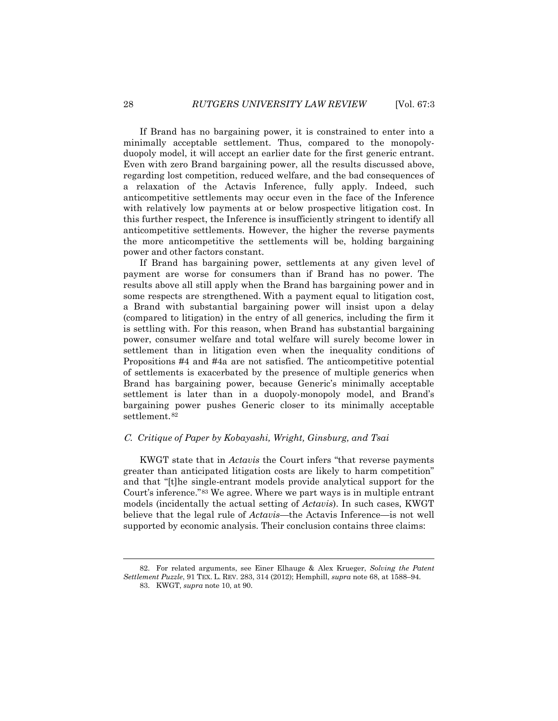If Brand has no bargaining power, it is constrained to enter into a minimally acceptable settlement. Thus, compared to the monopolyduopoly model, it will accept an earlier date for the first generic entrant. Even with zero Brand bargaining power, all the results discussed above, regarding lost competition, reduced welfare, and the bad consequences of a relaxation of the Actavis Inference, fully apply. Indeed, such anticompetitive settlements may occur even in the face of the Inference with relatively low payments at or below prospective litigation cost. In this further respect, the Inference is insufficiently stringent to identify all anticompetitive settlements. However, the higher the reverse payments the more anticompetitive the settlements will be, holding bargaining power and other factors constant.

If Brand has bargaining power, settlements at any given level of payment are worse for consumers than if Brand has no power. The results above all still apply when the Brand has bargaining power and in some respects are strengthened. With a payment equal to litigation cost, a Brand with substantial bargaining power will insist upon a delay (compared to litigation) in the entry of all generics, including the firm it is settling with. For this reason, when Brand has substantial bargaining power, consumer welfare and total welfare will surely become lower in settlement than in litigation even when the inequality conditions of Propositions #4 and #4a are not satisfied. The anticompetitive potential of settlements is exacerbated by the presence of multiple generics when Brand has bargaining power, because Generic's minimally acceptable settlement is later than in a duopoly-monopoly model, and Brand's bargaining power pushes Generic closer to its minimally acceptable settlement.<sup>[82](#page-27-0)</sup>

### C. *Critique of Paper by Kobayashi, Wright, Ginsburg, and Tsai*

KWGT state that in *Actavis* the Court infers "that reverse payments greater than anticipated litigation costs are likely to harm competition" and that "[t]he single-entrant models provide analytical support for the Court's inference."[83](#page-27-1) We agree. Where we part ways is in multiple entrant models (incidentally the actual setting of *Actavis*). In such cases, KWGT believe that the legal rule of *Actavis*—the Actavis Inference—is not well supported by economic analysis. Their conclusion contains three claims:

<span id="page-27-1"></span><span id="page-27-0"></span><sup>82.</sup> For related arguments, see Einer Elhauge & Alex Krueger, *Solving the Patent Settlement Puzzle*, 91 TEX. L. REV. 283, 314 (2012); Hemphill, *supra* note 68, at 1588–94.

<sup>83.</sup> KWGT, *supra* note 10, at 90.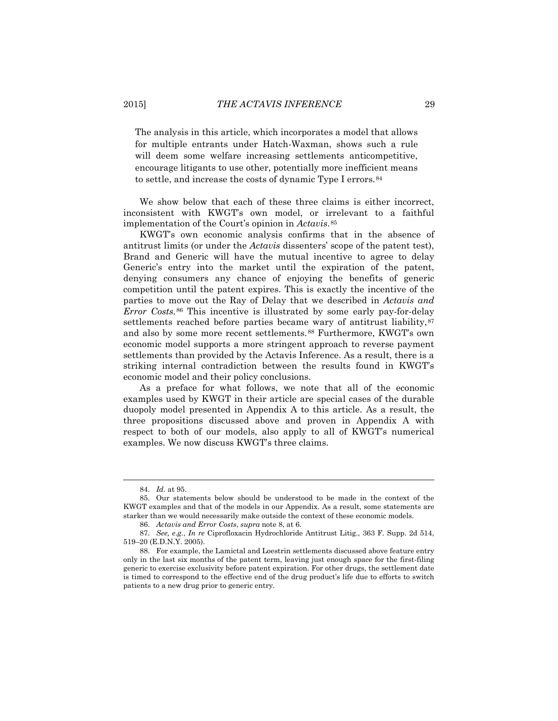The analysis in this article, which incorporates a model that allows for multiple entrants under Hatch-Waxman, shows such a rule will deem some welfare increasing settlements anticompetitive, encourage litigants to use other, potentially more inefficient means to settle, and increase the costs of dynamic Type I errors.[84](#page-28-0)

We show below that each of these three claims is either incorrect. inconsistent with KWGT's own model, or irrelevant to a faithful implementation of the Court's opinion in *Actavis*.[85](#page-28-1)

KWGT's own economic analysis confirms that in the absence of antitrust limits (or under the *Actavis* dissenters' scope of the patent test), Brand and Generic will have the mutual incentive to agree to delay Generic's entry into the market until the expiration of the patent, denying consumers any chance of enjoying the benefits of generic competition until the patent expires. This is exactly the incentive of the parties to move out the Ray of Delay that we described in *Actavis and Error Costs.*[86](#page-28-2) This incentive is illustrated by some early pay-for-delay settlements reached before parties became wary of antitrust liability, <sup>[87](#page-28-3)</sup> and also by some more recent settlements.[88](#page-28-4) Furthermore, KWGT's own economic model supports a more stringent approach to reverse payment settlements than provided by the Actavis Inference. As a result, there is a striking internal contradiction between the results found in KWGT's economic model and their policy conclusions.

As a preface for what follows, we note that all of the economic examples used by KWGT in their article are special cases of the durable duopoly model presented in Appendix A to this article. As a result, the three propositions discussed above and proven in Appendix A with respect to both of our models, also apply to all of KWGT's numerical examples. We now discuss KWGT's three claims.

<sup>84.</sup> *Id.* at 95.

<span id="page-28-1"></span><span id="page-28-0"></span><sup>85.</sup> Our statements below should be understood to be made in the context of the KWGT examples and that of the models in our Appendix. As a result, some statements are starker than we would necessarily make outside the context of these economic models.

<sup>86.</sup> *Actavis and Error Costs*, *supra* note 8, at 6.

<span id="page-28-3"></span><span id="page-28-2"></span><sup>87.</sup> *See, e.g.*, *In re* Ciprofloxacin Hydrochloride Antitrust Litig., 363 F. Supp. 2d 514, 519–20 (E.D.N.Y. 2005).

<span id="page-28-4"></span><sup>88.</sup> For example, the Lamictal and Loestrin settlements discussed above feature entry only in the last six months of the patent term, leaving just enough space for the first-filing generic to exercise exclusivity before patent expiration. For other drugs, the settlement date is timed to correspond to the effective end of the drug product's life due to efforts to switch patients to a new drug prior to generic entry.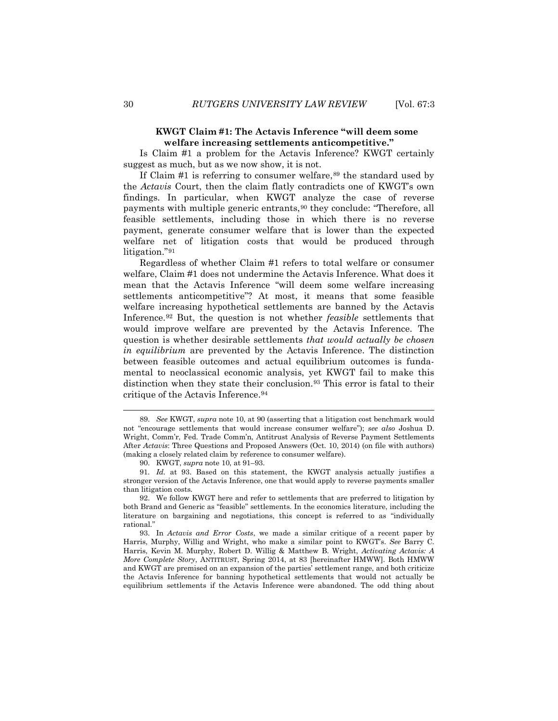### **KWGT Claim #1: The Actavis Inference "will deem some welfare increasing settlements anticompetitive."**

Is Claim #1 a problem for the Actavis Inference? KWGT certainly suggest as much, but as we now show, it is not.

If Claim  $#1$  is referring to consumer welfare, $89$  the standard used by the *Actavis* Court, then the claim flatly contradicts one of KWGT's own findings. In particular, when KWGT analyze the case of reverse payments with multiple generic entrants,[90](#page-29-1) they conclude: "Therefore, all feasible settlements, including those in which there is no reverse payment, generate consumer welfare that is lower than the expected welfare net of litigation costs that would be produced through litigation."[91](#page-29-2)

Regardless of whether Claim #1 refers to total welfare or consumer welfare, Claim #1 does not undermine the Actavis Inference. What does it mean that the Actavis Inference "will deem some welfare increasing settlements anticompetitive"? At most, it means that some feasible welfare increasing hypothetical settlements are banned by the Actavis Inference.[92](#page-29-3) But, the question is not whether *feasible* settlements that would improve welfare are prevented by the Actavis Inference. The question is whether desirable settlements *that would actually be chosen in equilibrium* are prevented by the Actavis Inference. The distinction between feasible outcomes and actual equilibrium outcomes is fundamental to neoclassical economic analysis, yet KWGT fail to make this distinction when they state their conclusion.[93](#page-29-4) This error is fatal to their critique of the Actavis Inference.[94](#page-29-5)

<span id="page-29-5"></span><span id="page-29-0"></span><sup>89.</sup> *See* KWGT, *supra* note 10, at 90 (asserting that a litigation cost benchmark would not "encourage settlements that would increase consumer welfare"); *see also* Joshua D. Wright, Comm'r, Fed. Trade Comm'n, Antitrust Analysis of Reverse Payment Settlements After *Actavis*: Three Questions and Proposed Answers (Oct. 10, 2014) (on file with authors) (making a closely related claim by reference to consumer welfare).

<sup>90.</sup> KWGT, *supra* note 10, at 91–93.

<span id="page-29-2"></span><span id="page-29-1"></span><sup>91.</sup> *Id.* at 93. Based on this statement, the KWGT analysis actually justifies a stronger version of the Actavis Inference, one that would apply to reverse payments smaller than litigation costs.

<span id="page-29-3"></span><sup>92.</sup> We follow KWGT here and refer to settlements that are preferred to litigation by both Brand and Generic as "feasible" settlements. In the economics literature, including the literature on bargaining and negotiations, this concept is referred to as "individually rational."

<span id="page-29-4"></span><sup>93.</sup> In *Actavis and Error Costs*, we made a similar critique of a recent paper by Harris, Murphy, Willig and Wright, who make a similar point to KWGT's. *See* Barry C. Harris, Kevin M. Murphy, Robert D. Willig & Matthew B. Wright, *Activating Actavis: A More Complete Story*, ANTITRUST, Spring 2014, at 83 [hereinafter HMWW]. Both HMWW and KWGT are premised on an expansion of the parties' settlement range, and both criticize the Actavis Inference for banning hypothetical settlements that would not actually be equilibrium settlements if the Actavis Inference were abandoned. The odd thing about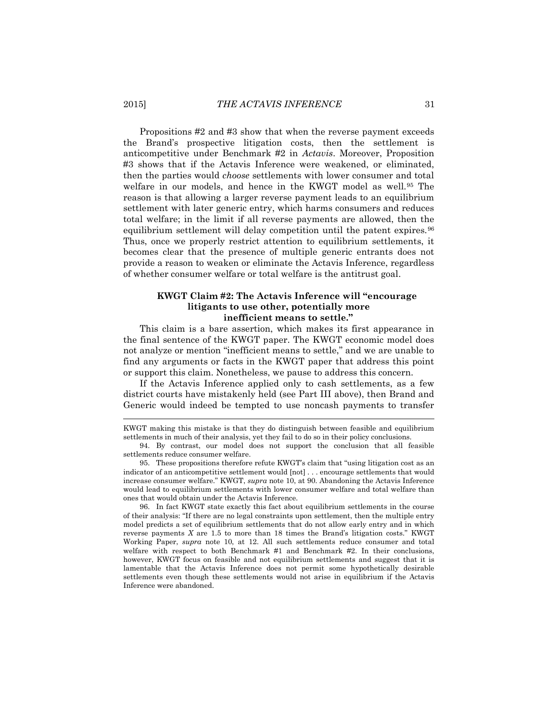Propositions #2 and #3 show that when the reverse payment exceeds the Brand's prospective litigation costs, then the settlement is anticompetitive under Benchmark #2 in *Actavis*. Moreover, Proposition #3 shows that if the Actavis Inference were weakened, or eliminated, then the parties would *choose* settlements with lower consumer and total welfare in our models, and hence in the KWGT model as well.<sup>[95](#page-30-0)</sup> The reason is that allowing a larger reverse payment leads to an equilibrium settlement with later generic entry, which harms consumers and reduces total welfare; in the limit if all reverse payments are allowed, then the equilibrium settlement will delay competition until the patent expires.<sup>[96](#page-30-1)</sup> Thus, once we properly restrict attention to equilibrium settlements, it becomes clear that the presence of multiple generic entrants does not provide a reason to weaken or eliminate the Actavis Inference, regardless of whether consumer welfare or total welfare is the antitrust goal.

## **KWGT Claim #2: The Actavis Inference will "encourage litigants to use other, potentially more inefficient means to settle."**

This claim is a bare assertion, which makes its first appearance in the final sentence of the KWGT paper. The KWGT economic model does not analyze or mention "inefficient means to settle," and we are unable to find any arguments or facts in the KWGT paper that address this point or support this claim. Nonetheless, we pause to address this concern.

If the Actavis Inference applied only to cash settlements, as a few district courts have mistakenly held (see Part III above), then Brand and Generic would indeed be tempted to use noncash payments to transfer

KWGT making this mistake is that they do distinguish between feasible and equilibrium settlements in much of their analysis, yet they fail to do so in their policy conclusions.

<span id="page-30-1"></span>96. In fact KWGT state exactly this fact about equilibrium settlements in the course of their analysis: "If there are no legal constraints upon settlement, then the multiple entry model predicts a set of equilibrium settlements that do not allow early entry and in which reverse payments *X* are 1.5 to more than 18 times the Brand's litigation costs." KWGT Working Paper, *supra* note 10, at 12. All such settlements reduce consumer and total welfare with respect to both Benchmark #1 and Benchmark #2. In their conclusions, however, KWGT focus on feasible and not equilibrium settlements and suggest that it is lamentable that the Actavis Inference does not permit some hypothetically desirable settlements even though these settlements would not arise in equilibrium if the Actavis Inference were abandoned.

<sup>94.</sup> By contrast, our model does not support the conclusion that all feasible settlements reduce consumer welfare.

<span id="page-30-0"></span><sup>95.</sup> These propositions therefore refute KWGT's claim that "using litigation cost as an indicator of an anticompetitive settlement would [not] . . . encourage settlements that would increase consumer welfare." KWGT, *supra* not[e 10,](#page-4-3) at 90. Abandoning the Actavis Inference would lead to equilibrium settlements with lower consumer welfare and total welfare than ones that would obtain under the Actavis Inference.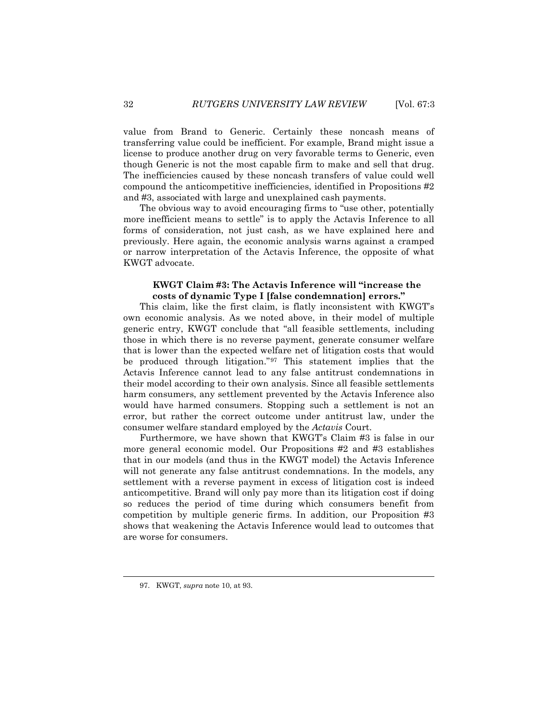value from Brand to Generic. Certainly these noncash means of transferring value could be inefficient. For example, Brand might issue a license to produce another drug on very favorable terms to Generic, even though Generic is not the most capable firm to make and sell that drug. The inefficiencies caused by these noncash transfers of value could well compound the anticompetitive inefficiencies, identified in Propositions #2 and #3, associated with large and unexplained cash payments.

The obvious way to avoid encouraging firms to "use other, potentially more inefficient means to settle" is to apply the Actavis Inference to all forms of consideration, not just cash, as we have explained here and previously. Here again, the economic analysis warns against a cramped or narrow interpretation of the Actavis Inference, the opposite of what KWGT advocate.

## **KWGT Claim #3: The Actavis Inference will "increase the costs of dynamic Type I [false condemnation] errors."**

This claim, like the first claim, is flatly inconsistent with KWGT's own economic analysis. As we noted above, in their model of multiple generic entry, KWGT conclude that "all feasible settlements, including those in which there is no reverse payment, generate consumer welfare that is lower than the expected welfare net of litigation costs that would be produced through litigation."[97](#page-31-0) This statement implies that the Actavis Inference cannot lead to any false antitrust condemnations in their model according to their own analysis. Since all feasible settlements harm consumers, any settlement prevented by the Actavis Inference also would have harmed consumers. Stopping such a settlement is not an error, but rather the correct outcome under antitrust law, under the consumer welfare standard employed by the *Actavis* Court.

Furthermore, we have shown that KWGT's Claim #3 is false in our more general economic model. Our Propositions #2 and #3 establishes that in our models (and thus in the KWGT model) the Actavis Inference will not generate any false antitrust condemnations. In the models, any settlement with a reverse payment in excess of litigation cost is indeed anticompetitive. Brand will only pay more than its litigation cost if doing so reduces the period of time during which consumers benefit from competition by multiple generic firms. In addition, our Proposition #3 shows that weakening the Actavis Inference would lead to outcomes that are worse for consumers.

<span id="page-31-0"></span><sup>97.</sup> KWGT, *supra* note 10, at 93.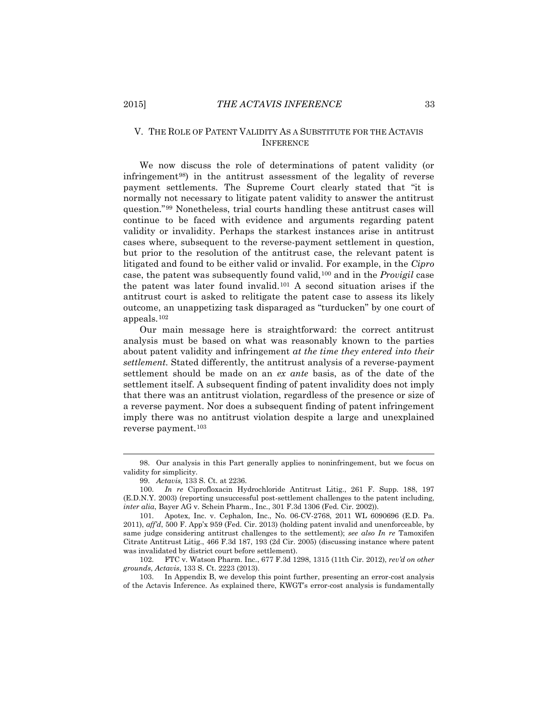## V. THE ROLE OF PATENT VALIDITY AS A SUBSTITUTE FOR THE ACTAVIS **INFERENCE**

We now discuss the role of determinations of patent validity (or infringement[98\)](#page-32-0) in the antitrust assessment of the legality of reverse payment settlements. The Supreme Court clearly stated that "it is normally not necessary to litigate patent validity to answer the antitrust question."[99](#page-32-1) Nonetheless, trial courts handling these antitrust cases will continue to be faced with evidence and arguments regarding patent validity or invalidity. Perhaps the starkest instances arise in antitrust cases where, subsequent to the reverse-payment settlement in question, but prior to the resolution of the antitrust case, the relevant patent is litigated and found to be either valid or invalid. For example, in the *Cipro* case, the patent was subsequently found valid,[100](#page-32-2) and in the *Provigil* case the patent was later found invalid.[101](#page-32-3) A second situation arises if the antitrust court is asked to relitigate the patent case to assess its likely outcome, an unappetizing task disparaged as "turducken" by one court of appeals.[102](#page-32-4)

Our main message here is straightforward: the correct antitrust analysis must be based on what was reasonably known to the parties about patent validity and infringement *at the time they entered into their settlement.* Stated differently, the antitrust analysis of a reverse-payment settlement should be made on an *ex ante* basis, as of the date of the settlement itself. A subsequent finding of patent invalidity does not imply that there was an antitrust violation, regardless of the presence or size of a reverse payment. Nor does a subsequent finding of patent infringement imply there was no antitrust violation despite a large and unexplained reverse payment.[103](#page-32-5)

<span id="page-32-0"></span><sup>98.</sup> Our analysis in this Part generally applies to noninfringement, but we focus on validity for simplicity.

<sup>99.</sup> *Actavis,* 133 S. Ct. at 2236.

<span id="page-32-2"></span><span id="page-32-1"></span><sup>100.</sup> *In re* Ciprofloxacin Hydrochloride Antitrust Litig., 261 F. Supp. 188, 197 (E.D.N.Y. 2003) (reporting unsuccessful post-settlement challenges to the patent including, *inter alia*, Bayer AG v. Schein Pharm., Inc., 301 F.3d 1306 (Fed. Cir. 2002)).

<span id="page-32-3"></span><sup>101.</sup> Apotex, Inc. v. Cephalon, Inc., No. 06-CV-2768, 2011 WL 6090696 (E.D. Pa. 2011), *aff'd*, 500 F. App'x 959 (Fed. Cir. 2013) (holding patent invalid and unenforceable, by same judge considering antitrust challenges to the settlement); *see also In re* Tamoxifen Citrate Antitrust Litig., 466 F.3d 187, 193 (2d Cir. 2005) (discussing instance where patent was invalidated by district court before settlement).

<span id="page-32-4"></span><sup>102.</sup> FTC v. Watson Pharm. Inc., 677 F.3d 1298, 1315 (11th Cir. 2012), *rev'd on other grounds*, *Actavis*, 133 S. Ct. 2223 (2013).

<span id="page-32-5"></span><sup>103.</sup> In Appendix B, we develop this point further, presenting an error-cost analysis of the Actavis Inference. As explained there, KWGT's error-cost analysis is fundamentally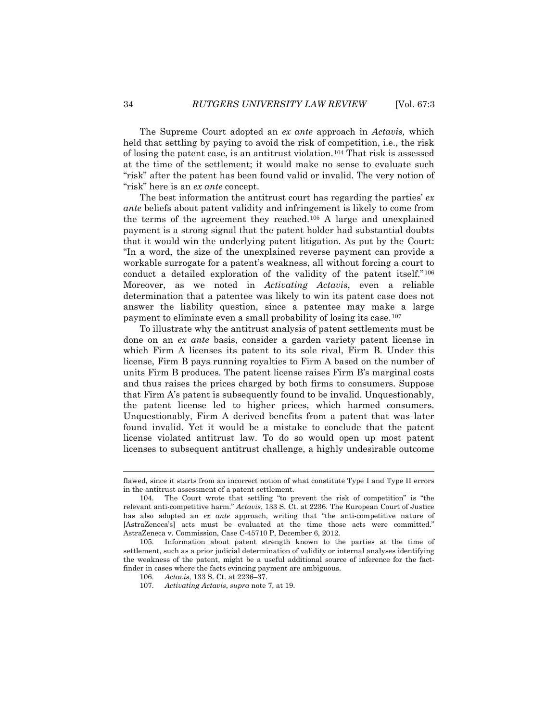The Supreme Court adopted an *ex ante* approach in *Actavis,* which held that settling by paying to avoid the risk of competition, i.e., the risk of losing the patent case, is an antitrust violation.<sup>[104](#page-33-0)</sup> That risk is assessed at the time of the settlement; it would make no sense to evaluate such "risk" after the patent has been found valid or invalid. The very notion of "risk" here is an *ex ante* concept.

The best information the antitrust court has regarding the parties' *ex ante* beliefs about patent validity and infringement is likely to come from the terms of the agreement they reached.[105](#page-33-1) A large and unexplained payment is a strong signal that the patent holder had substantial doubts that it would win the underlying patent litigation. As put by the Court: "In a word, the size of the unexplained reverse payment can provide a workable surrogate for a patent's weakness, all without forcing a court to conduct a detailed exploration of the validity of the patent itself."[106](#page-33-2) Moreover, as we noted in *Activating Actavis*, even a reliable determination that a patentee was likely to win its patent case does not answer the liability question, since a patentee may make a large payment to eliminate even a small probability of losing its case.[107](#page-33-3)

To illustrate why the antitrust analysis of patent settlements must be done on an *ex ante* basis, consider a garden variety patent license in which Firm A licenses its patent to its sole rival, Firm B. Under this license, Firm B pays running royalties to Firm A based on the number of units Firm B produces. The patent license raises Firm B's marginal costs and thus raises the prices charged by both firms to consumers. Suppose that Firm A's patent is subsequently found to be invalid. Unquestionably, the patent license led to higher prices, which harmed consumers. Unquestionably, Firm A derived benefits from a patent that was later found invalid. Yet it would be a mistake to conclude that the patent license violated antitrust law. To do so would open up most patent licenses to subsequent antitrust challenge, a highly undesirable outcome

flawed, since it starts from an incorrect notion of what constitute Type I and Type II errors in the antitrust assessment of a patent settlement.

<span id="page-33-0"></span><sup>104.</sup> The Court wrote that settling "to prevent the risk of competition" is "the relevant anti-competitive harm." *Actavis*, 133 S. Ct. at 2236. The European Court of Justice has also adopted an *ex ante* approach, writing that "the anti-competitive nature of [AstraZeneca's] acts must be evaluated at the time those acts were committed." AstraZeneca v. Commission, Case C-45710 P, December 6, 2012.

<span id="page-33-3"></span><span id="page-33-2"></span><span id="page-33-1"></span><sup>105.</sup> Information about patent strength known to the parties at the time of settlement, such as a prior judicial determination of validity or internal analyses identifying the weakness of the patent, might be a useful additional source of inference for the factfinder in cases where the facts evincing payment are ambiguous.

<sup>106.</sup> *Actavis*, 133 S. Ct. at 2236–37.

<sup>107.</sup> *Activating Actavis*, *supra* note 7, at 19.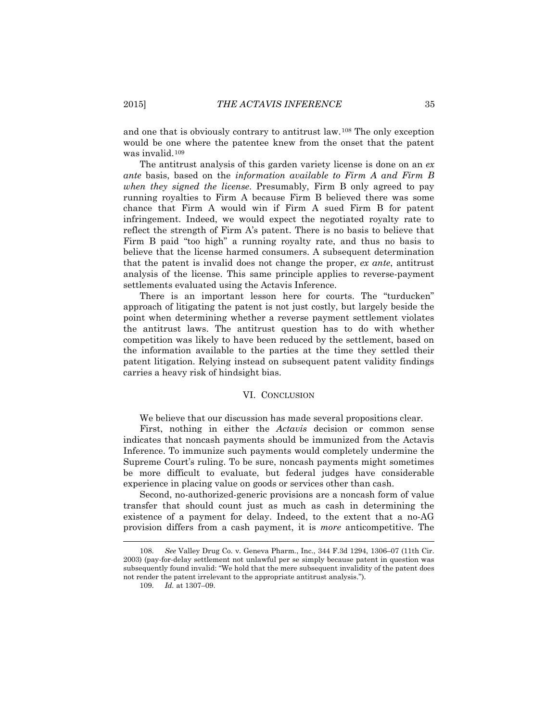and one that is obviously contrary to antitrust law.[108](#page-34-0) The only exception would be one where the patentee knew from the onset that the patent was invalid.[109](#page-34-1)

The antitrust analysis of this garden variety license is done on an *ex ante* basis, based on the *information available to Firm A and Firm B when they signed the license*. Presumably, Firm B only agreed to pay running royalties to Firm A because Firm B believed there was some chance that Firm A would win if Firm A sued Firm B for patent infringement. Indeed, we would expect the negotiated royalty rate to reflect the strength of Firm A's patent. There is no basis to believe that Firm B paid "too high" a running royalty rate, and thus no basis to believe that the license harmed consumers. A subsequent determination that the patent is invalid does not change the proper, *ex ante*, antitrust analysis of the license. This same principle applies to reverse-payment settlements evaluated using the Actavis Inference.

There is an important lesson here for courts. The "turducken" approach of litigating the patent is not just costly, but largely beside the point when determining whether a reverse payment settlement violates the antitrust laws. The antitrust question has to do with whether competition was likely to have been reduced by the settlement, based on the information available to the parties at the time they settled their patent litigation. Relying instead on subsequent patent validity findings carries a heavy risk of hindsight bias.

### VI. CONCLUSION

We believe that our discussion has made several propositions clear.

First, nothing in either the *Actavis* decision or common sense indicates that noncash payments should be immunized from the Actavis Inference. To immunize such payments would completely undermine the Supreme Court's ruling. To be sure, noncash payments might sometimes be more difficult to evaluate, but federal judges have considerable experience in placing value on goods or services other than cash.

Second, no-authorized-generic provisions are a noncash form of value transfer that should count just as much as cash in determining the existence of a payment for delay. Indeed, to the extent that a no-AG provision differs from a cash payment, it is *more* anticompetitive. The

<span id="page-34-1"></span><span id="page-34-0"></span><sup>108.</sup> *See* Valley Drug Co. v. Geneva Pharm., Inc., 344 F.3d 1294, 1306–07 (11th Cir. 2003) (pay-for-delay settlement not unlawful per se simply because patent in question was subsequently found invalid: "We hold that the mere subsequent invalidity of the patent does not render the patent irrelevant to the appropriate antitrust analysis.").

<sup>109.</sup> *Id.* at 1307–09.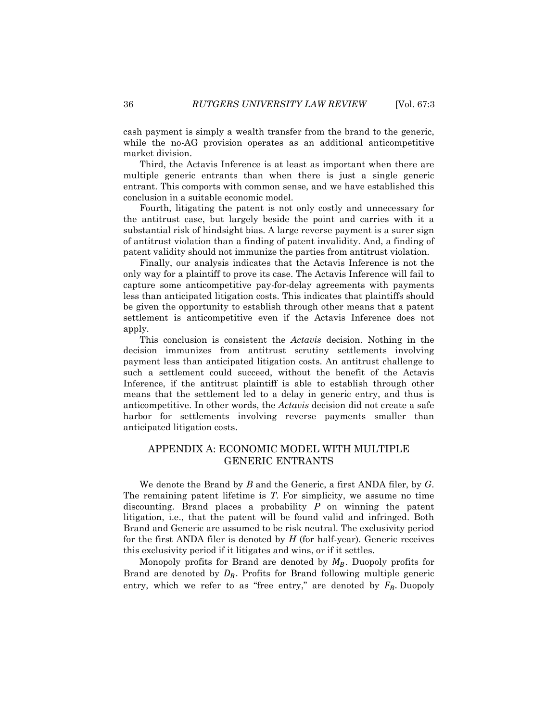cash payment is simply a wealth transfer from the brand to the generic, while the no-AG provision operates as an additional anticompetitive market division.

Third, the Actavis Inference is at least as important when there are multiple generic entrants than when there is just a single generic entrant. This comports with common sense, and we have established this conclusion in a suitable economic model.

Fourth, litigating the patent is not only costly and unnecessary for the antitrust case, but largely beside the point and carries with it a substantial risk of hindsight bias. A large reverse payment is a surer sign of antitrust violation than a finding of patent invalidity. And, a finding of patent validity should not immunize the parties from antitrust violation.

Finally, our analysis indicates that the Actavis Inference is not the only way for a plaintiff to prove its case. The Actavis Inference will fail to capture some anticompetitive pay-for-delay agreements with payments less than anticipated litigation costs. This indicates that plaintiffs should be given the opportunity to establish through other means that a patent settlement is anticompetitive even if the Actavis Inference does not apply.

This conclusion is consistent the *Actavis* decision. Nothing in the decision immunizes from antitrust scrutiny settlements involving payment less than anticipated litigation costs. An antitrust challenge to such a settlement could succeed, without the benefit of the Actavis Inference, if the antitrust plaintiff is able to establish through other means that the settlement led to a delay in generic entry, and thus is anticompetitive. In other words, the *Actavis* decision did not create a safe harbor for settlements involving reverse payments smaller than anticipated litigation costs.

## APPENDIX A: ECONOMIC MODEL WITH MULTIPLE GENERIC ENTRANTS

We denote the Brand by *B* and the Generic, a first ANDA filer, by *G*. The remaining patent lifetime is *T*. For simplicity, we assume no time discounting. Brand places a probability *P* on winning the patent litigation, i.e., that the patent will be found valid and infringed. Both Brand and Generic are assumed to be risk neutral. The exclusivity period for the first ANDA filer is denoted by *H* (for half-year). Generic receives this exclusivity period if it litigates and wins, or if it settles.

Monopoly profits for Brand are denoted by  $M_B$ . Duopoly profits for Brand are denoted by  $D_B$ . Profits for Brand following multiple generic entry, which we refer to as "free entry," are denoted by  $F_B$ . Duopoly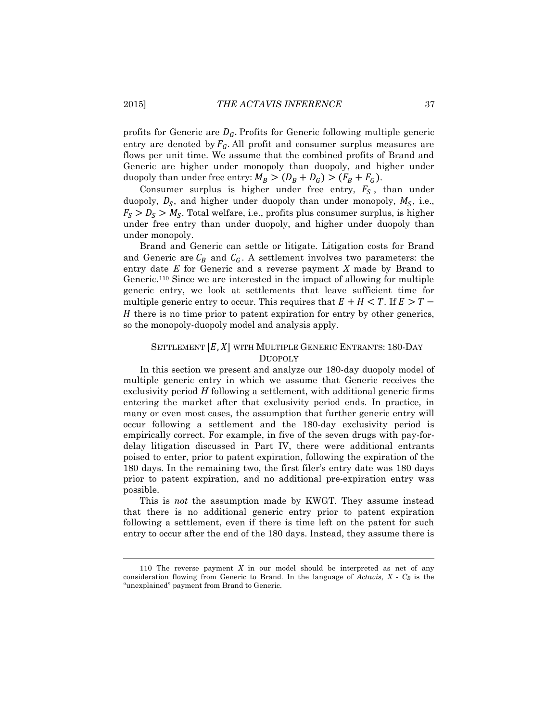profits for Generic are  $D_G$ . Profits for Generic following multiple generic entry are denoted by  $F_G$ . All profit and consumer surplus measures are flows per unit time. We assume that the combined profits of Brand and Generic are higher under monopoly than duopoly, and higher under duopoly than under free entry:  $M_B > (D_B + D_G) > (F_B + F_G)$ .

Consumer surplus is higher under free entry,  $F_S$ , than under duopoly,  $D_s$ , and higher under duopoly than under monopoly,  $M_s$ , i.e.,  $F_S > D_S > M_S$ . Total welfare, i.e., profits plus consumer surplus, is higher under free entry than under duopoly, and higher under duopoly than under monopoly.

Brand and Generic can settle or litigate. Litigation costs for Brand and Generic are  $C_B$  and  $C_G$ . A settlement involves two parameters: the entry date *E* for Generic and a reverse payment *X* made by Brand to Generic.[110](#page-36-0) Since we are interested in the impact of allowing for multiple generic entry, we look at settlements that leave sufficient time for multiple generic entry to occur. This requires that  $E + H < T$ . If  $E > T -$ H there is no time prior to patent expiration for entry by other generics, so the monopoly-duopoly model and analysis apply.

## SETTLEMENT  $[E, X]$  WITH MULTIPLE GENERIC ENTRANTS: 180-DAY DUOPOLY

In this section we present and analyze our 180-day duopoly model of multiple generic entry in which we assume that Generic receives the exclusivity period *H* following a settlement, with additional generic firms entering the market after that exclusivity period ends. In practice, in many or even most cases, the assumption that further generic entry will occur following a settlement and the 180-day exclusivity period is empirically correct. For example, in five of the seven drugs with pay-fordelay litigation discussed in Part IV, there were additional entrants poised to enter, prior to patent expiration, following the expiration of the 180 days. In the remaining two, the first filer's entry date was 180 days prior to patent expiration, and no additional pre-expiration entry was possible.

This is *not* the assumption made by KWGT. They assume instead that there is no additional generic entry prior to patent expiration following a settlement, even if there is time left on the patent for such entry to occur after the end of the 180 days. Instead, they assume there is

<span id="page-36-0"></span><sup>110</sup> The reverse payment *X* in our model should be interpreted as net of any consideration flowing from Generic to Brand. In the language of  $Actavis$ ,  $X - C_B$  is the "unexplained" payment from Brand to Generic.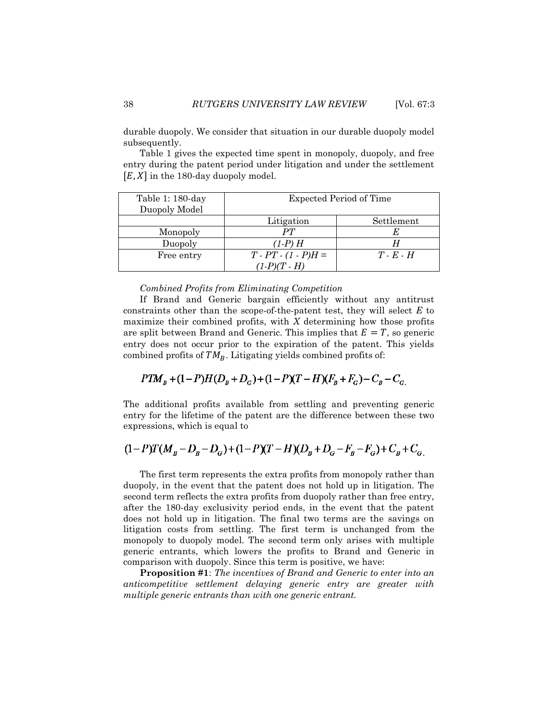durable duopoly. We consider that situation in our durable duopoly model subsequently.

Table 1 gives the expected time spent in monopoly, duopoly, and free entry during the patent period under litigation and under the settlement  $[E, X]$  in the 180-day duopoly model.

| Table 1: 180-day | <b>Expected Period of Time</b> |             |
|------------------|--------------------------------|-------------|
| Duopoly Model    |                                |             |
|                  | Litigation                     | Settlement  |
| Monopoly         | PΤ                             |             |
| Duopoly          | $(1-P)H$                       |             |
| Free entry       | $T - PT - (1 - P)H =$          | $T - E - H$ |
|                  | $(1-P)(T-H)$                   |             |

### *Combined Profits from Eliminating Competition*

If Brand and Generic bargain efficiently without any antitrust constraints other than the scope-of-the-patent test, they will select *E* to maximize their combined profits, with *X* determining how those profits are split between Brand and Generic. This implies that  $E = T$ , so generic entry does not occur prior to the expiration of the patent. This yields combined profits of  $TM_B$ . Litigating yields combined profits of:

$$
PTM_{B} + (1 - P)H(D_{B} + D_{G}) + (1 - P)(T - H)(F_{B} + F_{G}) - C_{B} - C_{G}.
$$

The additional profits available from settling and preventing generic entry for the lifetime of the patent are the difference between these two expressions, which is equal to

$$
(1-P)T(M_B - D_B - D_G) + (1-P)(T-H)(D_B + D_G - F_B - F_G) + C_B + C_G
$$

The first term represents the extra profits from monopoly rather than duopoly, in the event that the patent does not hold up in litigation. The second term reflects the extra profits from duopoly rather than free entry, after the 180-day exclusivity period ends, in the event that the patent does not hold up in litigation. The final two terms are the savings on litigation costs from settling. The first term is unchanged from the monopoly to duopoly model. The second term only arises with multiple generic entrants, which lowers the profits to Brand and Generic in comparison with duopoly. Since this term is positive, we have:

**Proposition #1**: *The incentives of Brand and Generic to enter into an anticompetitive settlement delaying generic entry are greater with multiple generic entrants than with one generic entrant.*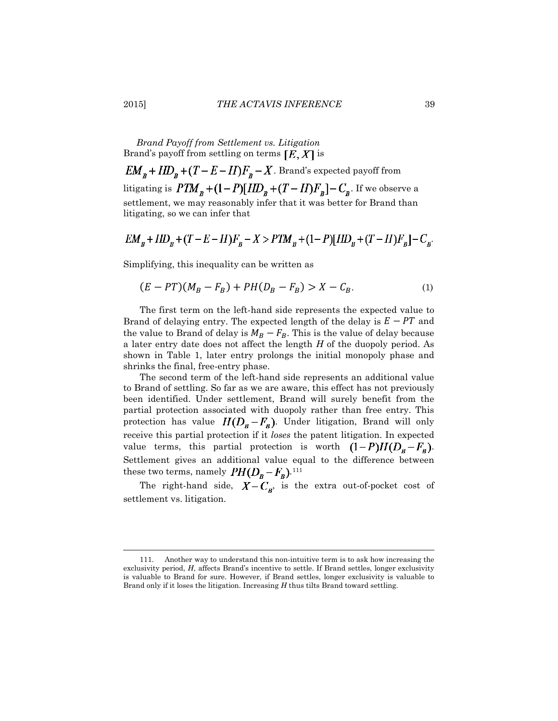*Brand Payoff from Settlement vs. Litigation* Brand's payoff from settling on terms  $[E, X]$  is

 $EM_{B} + HD_{B} + (T - E - H)F_{B} - X$ . Brand's expected payoff from litigating is  $PTM_{B} + (1 - P)(HD_{B} + (T - H)F_{B}) - C_{B}$ . If we observe a settlement, we may reasonably infer that it was better for Brand than litigating, so we can infer that

$$
EM_B + HD_B + (T - E - H)F_B - X > PTM_B + (1 - P)[HD_B + (T - H)F_B] - C_B.
$$

Simplifying, this inequality can be written as

$$
(E - PT)(M_B - F_B) + PH(D_B - F_B) > X - C_B.
$$
 (1)

The first term on the left-hand side represents the expected value to Brand of delaying entry. The expected length of the delay is  $E - PT$  and the value to Brand of delay is  $M_B - F_B$ . This is the value of delay because a later entry date does not affect the length *H* of the duopoly period. As shown in Table 1, later entry prolongs the initial monopoly phase and shrinks the final, free-entry phase.

The second term of the left-hand side represents an additional value to Brand of settling. So far as we are aware, this effect has not previously been identified. Under settlement, Brand will surely benefit from the partial protection associated with duopoly rather than free entry. This protection has value  $H(D_R - F_R)$ . Under litigation, Brand will only receive this partial protection if it *loses* the patent litigation. In expected value terms, this partial protection is worth  $(1-P)H(D<sub>B</sub> - F<sub>B</sub>)$ . Settlement gives an additional value equal to the difference between these two terms, namely  $PH(D_{\rm B}-F_{\rm B})$ .<sup>[111](#page-38-0)</sup>

The right-hand side,  $X - C_n$ , is the extra out-of-pocket cost of settlement vs. litigation.

<span id="page-38-0"></span><sup>111.</sup> Another way to understand this non-intuitive term is to ask how increasing the exclusivity period, *H*, affects Brand's incentive to settle. If Brand settles, longer exclusivity is valuable to Brand for sure. However, if Brand settles, longer exclusivity is valuable to Brand only if it loses the litigation. Increasing *H* thus tilts Brand toward settling.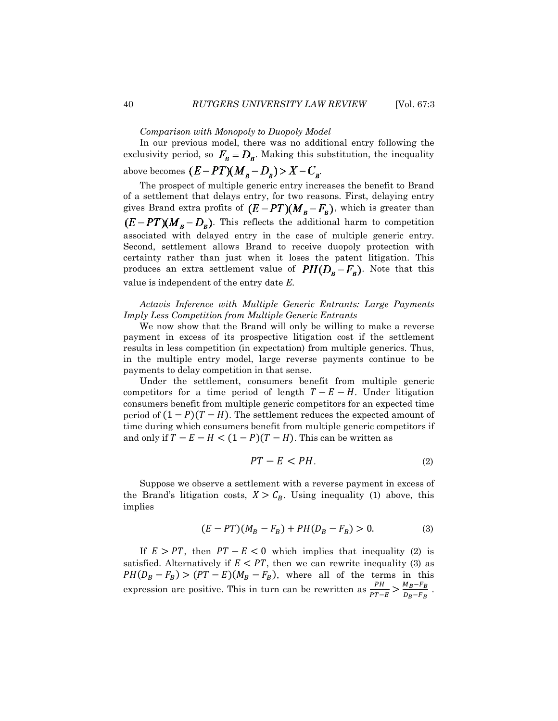#### *Comparison with Monopoly to Duopoly Model*

In our previous model, there was no additional entry following the exclusivity period, so  $F_B = D_B$ . Making this substitution, the inequality above becomes  $(E - PT)(M_B - D_B) > X - C_B$ .

The prospect of multiple generic entry increases the benefit to Brand of a settlement that delays entry, for two reasons. First, delaying entry gives Brand extra profits of  $(E - PT)(M_B - F_B)$ , which is greater than  $(E-PT)(M_{B}-D_{B})$ . This reflects the additional harm to competition associated with delayed entry in the case of multiple generic entry. Second, settlement allows Brand to receive duopoly protection with certainty rather than just when it loses the patent litigation. This produces an extra settlement value of  $PH(D_B - F_B)$ . Note that this value is independent of the entry date *E.*

*Actavis Inference with Multiple Generic Entrants: Large Payments Imply Less Competition from Multiple Generic Entrants*

We now show that the Brand will only be willing to make a reverse payment in excess of its prospective litigation cost if the settlement results in less competition (in expectation) from multiple generics. Thus, in the multiple entry model, large reverse payments continue to be payments to delay competition in that sense.

Under the settlement, consumers benefit from multiple generic competitors for a time period of length  $T - E - H$ . Under litigation consumers benefit from multiple generic competitors for an expected time period of  $(1 - P)(T - H)$ . The settlement reduces the expected amount of time during which consumers benefit from multiple generic competitors if and only if  $T - E - H < (1 - P)(T - H)$ . This can be written as

$$
PT - E < PH. \tag{2}
$$

Suppose we observe a settlement with a reverse payment in excess of the Brand's litigation costs,  $X > C_B$ . Using inequality (1) above, this implies

$$
(E - PT)(M_B - F_B) + PH(D_B - F_B) > 0.
$$
 (3)

If  $E > PT$ , then  $PT - E < 0$  which implies that inequality (2) is satisfied. Alternatively if  $E < PT$ , then we can rewrite inequality (3) as  $PH(D_B - F_B) > (PT - E)(M_B - F_B)$ , where all of the terms in this expression are positive. This in turn can be rewritten as  $\frac{PH}{PT-E} > \frac{M_B - F_B}{D_B - F_B}$ .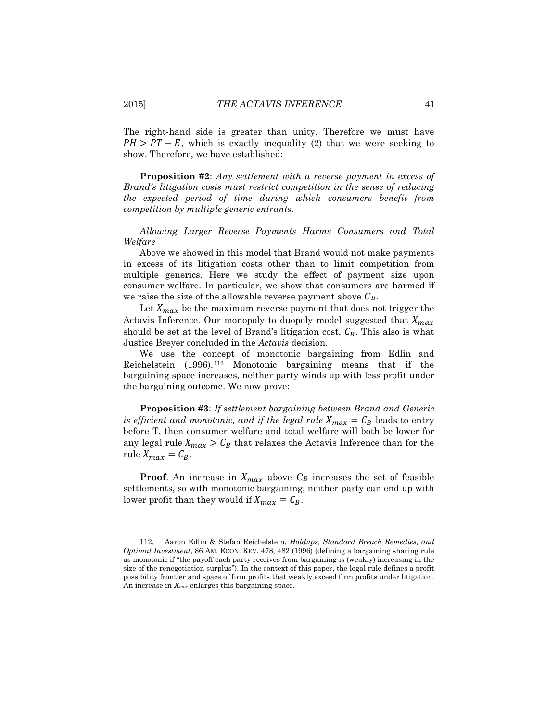The right-hand side is greater than unity. Therefore we must have  $PH > PT - E$ , which is exactly inequality (2) that we were seeking to show. Therefore, we have established:

**Proposition #2**: *Any settlement with a reverse payment in excess of Brand's litigation costs must restrict competition in the sense of reducing the expected period of time during which consumers benefit from competition by multiple generic entrants.*

*Allowing Larger Reverse Payments Harms Consumers and Total Welfare*

Above we showed in this model that Brand would not make payments in excess of its litigation costs other than to limit competition from multiple generics. Here we study the effect of payment size upon consumer welfare. In particular, we show that consumers are harmed if we raise the size of the allowable reverse payment above *CB*.

Let  $X_{max}$  be the maximum reverse payment that does not trigger the Actavis Inference. Our monopoly to duopoly model suggested that  $X_{max}$ should be set at the level of Brand's litigation cost,  $C_R$ . This also is what Justice Breyer concluded in the *Actavis* decision.

We use the concept of monotonic bargaining from Edlin and Reichelstein (1996).[112](#page-40-0) Monotonic bargaining means that if the bargaining space increases, neither party winds up with less profit under the bargaining outcome. We now prove:

**Proposition #3**: *If settlement bargaining between Brand and Generic is efficient and monotonic, and if the legal rule*  $X_{max} = C_B$  leads to entry before T, then consumer welfare and total welfare will both be lower for any legal rule  $X_{max} > C_B$  that relaxes the Actavis Inference than for the rule  $X_{max} = C_B$ .

**Proof.** An increase in  $X_{max}$  above  $C_B$  increases the set of feasible settlements, so with monotonic bargaining, neither party can end up with lower profit than they would if  $X_{max} = C_B$ .

<span id="page-40-0"></span><sup>112.</sup> Aaron Edlin & Stefan Reichelstein, *Holdups, Standard Breach Remedies, and Optimal Investment*, 86 AM. ECON. REV. 478, 482 (1996) (defining a bargaining sharing rule as monotonic if "the payoff each party receives from bargaining is (weakly) increasing in the size of the renegotiation surplus"). In the context of this paper, the legal rule defines a profit possibility frontier and space of firm profits that weakly exceed firm profits under litigation. An increase in *Xmax* enlarges this bargaining space.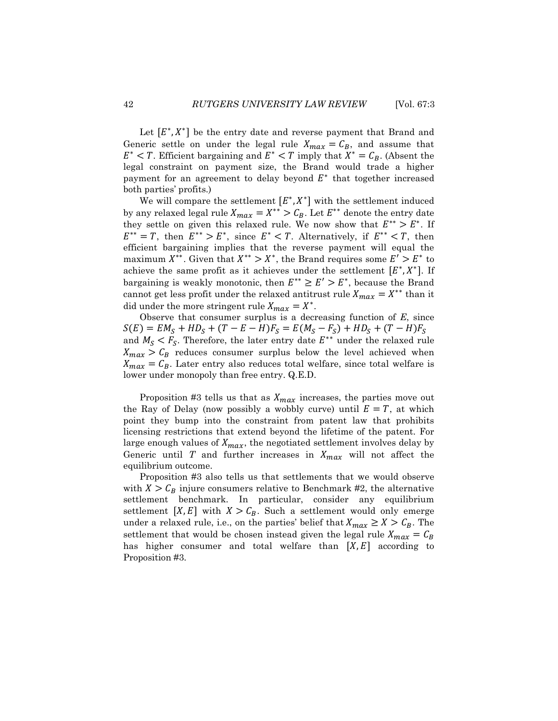Let  $[E^*, X^*]$  be the entry date and reverse payment that Brand and Generic settle on under the legal rule  $X_{max} = C_B$ , and assume that  $E^*$  < T. Efficient bargaining and  $E^*$  < T imply that  $X^* = C_B$ . (Absent the legal constraint on payment size, the Brand would trade a higher payment for an agreement to delay beyond  $E^*$  that together increased both parties' profits.)

We will compare the settlement  $[E^*, X^*]$  with the settlement induced by any relaxed legal rule  $X_{max} = X^{**} > C_B$ . Let  $E^{**}$  denote the entry date they settle on given this relaxed rule. We now show that  $E^{**} > E^*$ . If  $E^{**} = T$ , then  $E^{**} > E^*$ , since  $E^* < T$ . Alternatively, if  $E^{**} < T$ , then efficient bargaining implies that the reverse payment will equal the maximum  $X^{**}$ . Given that  $X^{**} > X^*$ , the Brand requires some  $E' > E^*$  to achieve the same profit as it achieves under the settlement  $[E^*, X^*]$ . If bargaining is weakly monotonic, then  $E^{**} \geq E' > E^*$ , because the Brand cannot get less profit under the relaxed antitrust rule  $X_{max} = X^{**}$  than it did under the more stringent rule  $X_{max} = X^*$ .

Observe that consumer surplus is a decreasing function of *E*, since  $S(E) = EM_S + HD_S + (T - E - H)F_S = E(M_S - F_S) + HD_S + (T - H)F_S$ and  $M_S < F_S$ . Therefore, the later entry date  $E^{**}$  under the relaxed rule  $X_{max} > C_B$  reduces consumer surplus below the level achieved when  $X_{max} = C_B$ . Later entry also reduces total welfare, since total welfare is lower under monopoly than free entry. Q.E.D.

Proposition #3 tells us that as  $X_{max}$  increases, the parties move out the Ray of Delay (now possibly a wobbly curve) until  $E = T$ , at which point they bump into the constraint from patent law that prohibits licensing restrictions that extend beyond the lifetime of the patent. For large enough values of  $X_{max}$ , the negotiated settlement involves delay by Generic until *T* and further increases in  $X_{max}$  will not affect the equilibrium outcome.

Proposition #3 also tells us that settlements that we would observe with  $X > C_B$  injure consumers relative to Benchmark #2, the alternative settlement benchmark. In particular, consider any equilibrium settlement  $[X, E]$  with  $X > C_R$ . Such a settlement would only emerge under a relaxed rule, i.e., on the parties' belief that  $X_{max} \ge X > C_B$ . The settlement that would be chosen instead given the legal rule  $X_{max} = C_B$ has higher consumer and total welfare than  $[X, E]$  according to Proposition #3.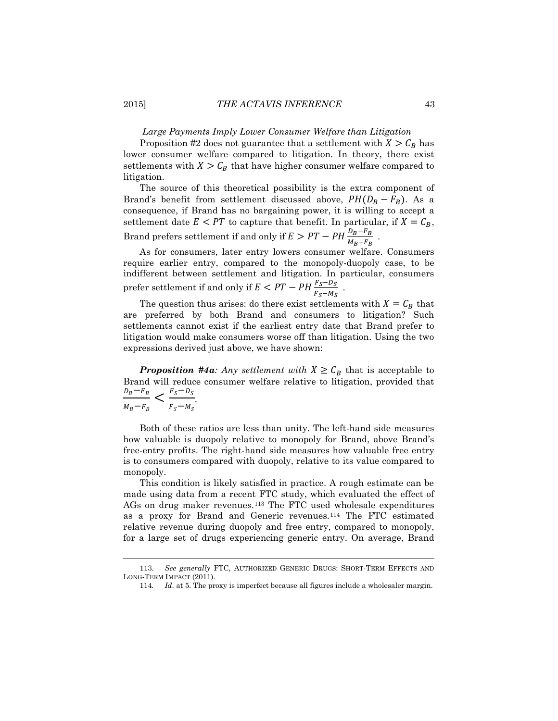*Large Payments Imply Lower Consumer Welfare than Litigation*

Proposition #2 does not guarantee that a settlement with  $X > C_R$  has lower consumer welfare compared to litigation. In theory, there exist settlements with  $X > C_B$  that have higher consumer welfare compared to litigation.

The source of this theoretical possibility is the extra component of Brand's benefit from settlement discussed above,  $PH(D_B - F_B)$ . As a consequence, if Brand has no bargaining power, it is willing to accept a settlement date  $E < PT$  to capture that benefit. In particular, if  $X = C_B$ , Brand prefers settlement if and only if  $E > PT - PH \frac{D_B - F_B}{M_B - F_B}$ .

As for consumers, later entry lowers consumer welfare. Consumers require earlier entry, compared to the monopoly-duopoly case, to be indifferent between settlement and litigation. In particular, consumers prefer settlement if and only if  $E < PT - PH \frac{F_S - D_S}{F_S - M_S}$ .

The question thus arises: do there exist settlements with  $X = C_B$  that are preferred by both Brand and consumers to litigation? Such settlements cannot exist if the earliest entry date that Brand prefer to litigation would make consumers worse off than litigation. Using the two expressions derived just above, we have shown:

**Proposition #4a**: Any settlement with  $X \geq C_B$  that is acceptable to Brand will reduce consumer welfare relative to litigation, provided that  $D_B-F_B$  $\frac{D_B - F_B}{M_B - F_B} < \frac{F_S - D_S}{F_S - M_S}$  $F_S - M_S$ .

Both of these ratios are less than unity. The left-hand side measures how valuable is duopoly relative to monopoly for Brand, above Brand's free-entry profits. The right-hand side measures how valuable free entry is to consumers compared with duopoly, relative to its value compared to monopoly.

This condition is likely satisfied in practice. A rough estimate can be made using data from a recent FTC study, which evaluated the effect of AGs on drug maker revenues.[113](#page-42-0) The FTC used wholesale expenditures as a proxy for Brand and Generic revenues.[114](#page-42-1) The FTC estimated relative revenue during duopoly and free entry, compared to monopoly, for a large set of drugs experiencing generic entry. On average, Brand

<span id="page-42-1"></span><span id="page-42-0"></span><sup>113.</sup> *See generally* FTC, AUTHORIZED GENERIC DRUGS: SHORT-TERM EFFECTS AND LONG-TERM IMPACT (2011).

<sup>114</sup>*. Id*. at 5. The proxy is imperfect because all figures include a wholesaler margin.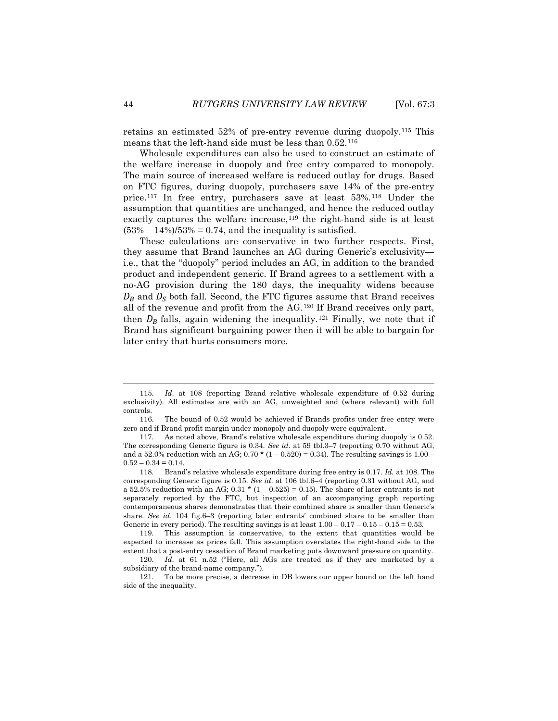retains an estimated 52% of pre-entry revenue during duopoly.[115](#page-43-0) This means that the left-hand side must be less than 0.52.[116](#page-43-1)

Wholesale expenditures can also be used to construct an estimate of the welfare increase in duopoly and free entry compared to monopoly. The main source of increased welfare is reduced outlay for drugs. Based on FTC figures, during duopoly, purchasers save 14% of the pre-entry price.[117](#page-43-2) In free entry, purchasers save at least 53%.[118](#page-43-3) Under the assumption that quantities are unchanged, and hence the reduced outlay exactly captures the welfare increase,<sup>[119](#page-43-4)</sup> the right-hand side is at least  $(53\% - 14\%)/53\% = 0.74$ , and the inequality is satisfied.

These calculations are conservative in two further respects. First, they assume that Brand launches an AG during Generic's exclusivity i.e., that the "duopoly" period includes an AG, in addition to the branded product and independent generic. If Brand agrees to a settlement with a no-AG provision during the 180 days, the inequality widens because  $D_R$  and  $D_S$  both fall. Second, the FTC figures assume that Brand receives all of the revenue and profit from the AG.[120](#page-43-5) If Brand receives only part, then  $D_R$  falls, again widening the inequality.<sup>[121](#page-43-6)</sup> Finally, we note that if Brand has significant bargaining power then it will be able to bargain for later entry that hurts consumers more.

<span id="page-43-0"></span><sup>115.</sup> *Id*. at 108 (reporting Brand relative wholesale expenditure of 0.52 during exclusivity). All estimates are with an AG, unweighted and (where relevant) with full controls.

<span id="page-43-1"></span><sup>116.</sup> The bound of 0.52 would be achieved if Brands profits under free entry were zero and if Brand profit margin under monopoly and duopoly were equivalent.

<span id="page-43-2"></span><sup>117.</sup> As noted above, Brand's relative wholesale expenditure during duopoly is 0.52. The corresponding Generic figure is 0.34. *See id*. at 59 tbl.3–7 (reporting 0.70 without AG, and a 52.0% reduction with an AG;  $0.70 * (1 - 0.520) = 0.34$ ). The resulting savings is  $1.00 0.52 - 0.34 = 0.14$ .

<span id="page-43-3"></span><sup>118.</sup> Brand's relative wholesale expenditure during free entry is 0.17. *Id.* at 108. The corresponding Generic figure is 0.15. *See id*. at 106 tbl.6–4 (reporting 0.31 without AG, and a 52.5% reduction with an AG;  $0.31 * (1 - 0.525) = 0.15$ ). The share of later entrants is not separately reported by the FTC, but inspection of an accompanying graph reporting contemporaneous shares demonstrates that their combined share is smaller than Generic's share. *See id*. 104 fig.6–3 (reporting later entrants' combined share to be smaller than Generic in every period). The resulting savings is at least  $1.00 - 0.17 - 0.15 - 0.15 = 0.53$ .

<span id="page-43-4"></span><sup>119.</sup> This assumption is conservative, to the extent that quantities would be expected to increase as prices fall. This assumption overstates the right-hand side to the extent that a post-entry cessation of Brand marketing puts downward pressure on quantity.

<span id="page-43-5"></span><sup>120.</sup> *Id*. at 61 n.52 ("Here, all AGs are treated as if they are marketed by a subsidiary of the brand-name company.").

<span id="page-43-6"></span><sup>121.</sup> To be more precise, a decrease in DB lowers our upper bound on the left hand side of the inequality.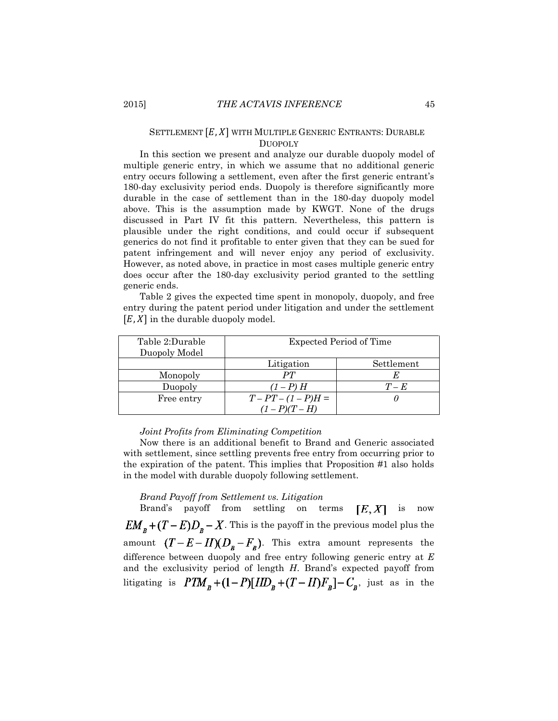### SETTLEMENT  $[E, X]$  with MULTIPLE GENERIC ENTRANTS: DURABLE DUOPOLY

In this section we present and analyze our durable duopoly model of multiple generic entry, in which we assume that no additional generic entry occurs following a settlement, even after the first generic entrant's 180-day exclusivity period ends. Duopoly is therefore significantly more durable in the case of settlement than in the 180-day duopoly model above. This is the assumption made by KWGT. None of the drugs discussed in Part IV fit this pattern. Nevertheless, this pattern is plausible under the right conditions, and could occur if subsequent generics do not find it profitable to enter given that they can be sued for patent infringement and will never enjoy any period of exclusivity. However, as noted above, in practice in most cases multiple generic entry does occur after the 180-day exclusivity period granted to the settling generic ends.

Table 2 gives the expected time spent in monopoly, duopoly, and free entry during the patent period under litigation and under the settlement  $[E, X]$  in the durable duopoly model.

| Table 2:Durable<br>Duopoly Model | <b>Expected Period of Time</b> |            |
|----------------------------------|--------------------------------|------------|
|                                  | Litigation                     | Settlement |
| Monopoly                         | PΤ                             |            |
| Duopoly                          | $(1-P)H$                       | $T - E$    |
| Free entry                       | $T-PT-(1-P)H =$                |            |
|                                  | $(1 - P)(T - H)$               |            |

### *Joint Profits from Eliminating Competition*

Now there is an additional benefit to Brand and Generic associated with settlement, since settling prevents free entry from occurring prior to the expiration of the patent. This implies that Proposition #1 also holds in the model with durable duopoly following settlement.

### *Brand Payoff from Settlement vs. Litigation*

Brand's payoff from settling on terms  $[E, X]$  is now  $EM_{B} + (T - E)D_{B} - X$ . This is the payoff in the previous model plus the amount  $(T-E-H)(D_{B}-F_{B})$ . This extra amount represents the difference between duopoly and free entry following generic entry at *E* and the exclusivity period of length *H*. Brand's expected payoff from litigating is  $PTM_{B} + (1 - P)[HD_{B} + (T - H)F_{B}] - C_{B}$ , just as in the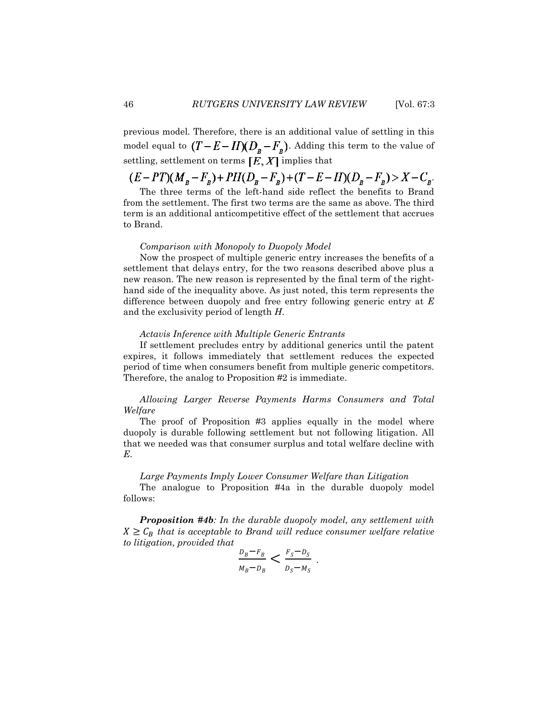previous model. Therefore, there is an additional value of settling in this model equal to  $(T - E - H)(D_p - F_p)$ . Adding this term to the value of settling, settlement on terms  $[E, X]$  implies that

 $(E-PT)(M_{R}-F_{R})+PH(D_{R}-F_{R})+(T-E-H)(D_{R}-F_{R})>X-C_{R}$ .

The three terms of the left-hand side reflect the benefits to Brand from the settlement. The first two terms are the same as above. The third term is an additional anticompetitive effect of the settlement that accrues to Brand.

#### *Comparison with Monopoly to Duopoly Model*

Now the prospect of multiple generic entry increases the benefits of a settlement that delays entry, for the two reasons described above plus a new reason. The new reason is represented by the final term of the righthand side of the inequality above. As just noted, this term represents the difference between duopoly and free entry following generic entry at *E* and the exclusivity period of length *H*.

### *Actavis Inference with Multiple Generic Entrants*

If settlement precludes entry by additional generics until the patent expires, it follows immediately that settlement reduces the expected period of time when consumers benefit from multiple generic competitors. Therefore, the analog to Proposition #2 is immediate.

*Allowing Larger Reverse Payments Harms Consumers and Total Welfare*

The proof of Proposition #3 applies equally in the model where duopoly is durable following settlement but not following litigation. All that we needed was that consumer surplus and total welfare decline with *E*.

### *Large Payments Imply Lower Consumer Welfare than Litigation*

The analogue to Proposition #4a in the durable duopoly model follows:

*Proposition #4b: In the durable duopoly model, any settlement with*   $X \geq C_R$  that is acceptable to Brand will reduce consumer welfare relative *to litigation, provided that*

$$
\tfrac{D_B-F_B}{M_B-D_B} < \tfrac{F_S-D_S}{D_S-M_S} \ .
$$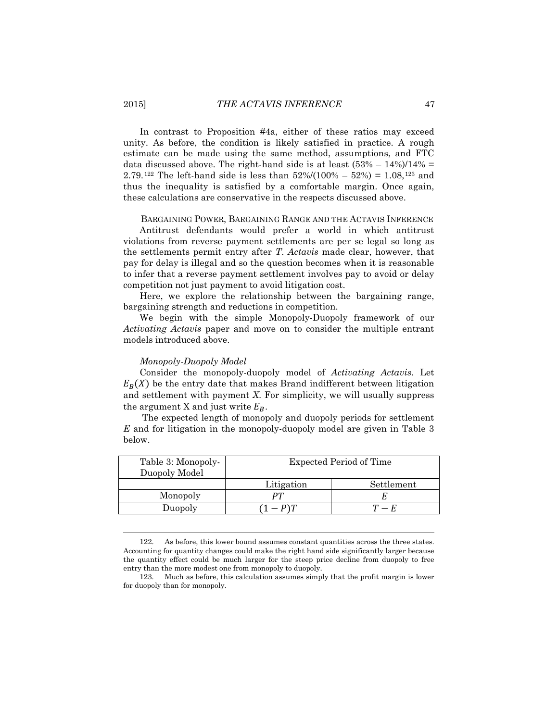In contrast to Proposition #4a, either of these ratios may exceed unity. As before, the condition is likely satisfied in practice. A rough estimate can be made using the same method, assumptions, and FTC data discussed above. The right-hand side is at least  $(53\% - 14\%)/14\% =$ 2.79.<sup>[122](#page-46-0)</sup> The left-hand side is less than  $52\%/100\% - 52\%) = 1.08$ ,<sup>[123](#page-46-1)</sup> and thus the inequality is satisfied by a comfortable margin. Once again, these calculations are conservative in the respects discussed above.

### BARGAINING POWER, BARGAINING RANGE AND THE ACTAVIS INFERENCE

Antitrust defendants would prefer a world in which antitrust violations from reverse payment settlements are per se legal so long as the settlements permit entry after *T*. *Actavis* made clear, however, that pay for delay is illegal and so the question becomes when it is reasonable to infer that a reverse payment settlement involves pay to avoid or delay competition not just payment to avoid litigation cost.

Here, we explore the relationship between the bargaining range, bargaining strength and reductions in competition.

We begin with the simple Monopoly-Duopoly framework of our *Activating Actavis* paper and move on to consider the multiple entrant models introduced above.

#### *Monopoly-Duopoly Model*

Consider the monopoly-duopoly model of *Activating Actavis*. Let  $E_R(X)$  be the entry date that makes Brand indifferent between litigation and settlement with payment *X*. For simplicity, we will usually suppress the argument X and just write  $E_R$ .

The expected length of monopoly and duopoly periods for settlement *E* and for litigation in the monopoly-duopoly model are given in Table 3 below.

| Table 3: Monopoly-<br>Duopoly Model | <b>Expected Period of Time</b> |                 |
|-------------------------------------|--------------------------------|-----------------|
|                                     | Litigation                     | Settlement      |
| Monopoly                            |                                |                 |
| Duopoly                             |                                | $^{\circ}$ $ F$ |

<span id="page-46-0"></span><sup>122.</sup> As before, this lower bound assumes constant quantities across the three states. Accounting for quantity changes could make the right hand side significantly larger because the quantity effect could be much larger for the steep price decline from duopoly to free entry than the more modest one from monopoly to duopoly.

<span id="page-46-1"></span><sup>123.</sup> Much as before, this calculation assumes simply that the profit margin is lower for duopoly than for monopoly.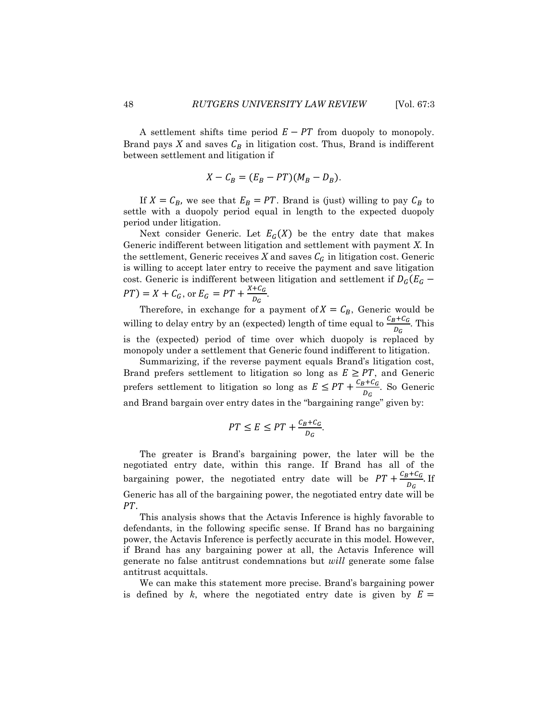A settlement shifts time period  $E - PT$  from duopoly to monopoly. Brand pays  $X$  and saves  $C_B$  in litigation cost. Thus, Brand is indifferent between settlement and litigation if

$$
X - C_B = (E_B - PT)(M_B - D_B).
$$

If  $X = C_B$ , we see that  $E_B = PT$ . Brand is (just) willing to pay  $C_B$  to settle with a duopoly period equal in length to the expected duopoly period under litigation.

Next consider Generic. Let  $E_G(X)$  be the entry date that makes Generic indifferent between litigation and settlement with payment *X*. In the settlement, Generic receives  $X$  and saves  $C_G$  in litigation cost. Generic is willing to accept later entry to receive the payment and save litigation cost. Generic is indifferent between litigation and settlement if  $D_G(E_G PT) = X + C_G$ , or  $E_G = PT + \frac{X + C_G}{D_G}$ .

Therefore, in exchange for a payment of  $X = C_B$ , Generic would be willing to delay entry by an (expected) length of time equal to  $\frac{C_B+C_G}{D}$  $\nu_G$ . This is the (expected) period of time over which duopoly is replaced by monopoly under a settlement that Generic found indifferent to litigation.

Summarizing, if the reverse payment equals Brand's litigation cost, Brand prefers settlement to litigation so long as  $E \geq PT$ , and Generic prefers settlement to litigation so long as  $E \le PT + \frac{C_B + C_G}{D_G}$ . So Generic and Brand bargain over entry dates in the "bargaining range" given by:

$$
PT \le E \le PT + \frac{c_B + c_G}{D_G}.
$$

The greater is Brand's bargaining power, the later will be the negotiated entry date, within this range. If Brand has all of the bargaining power, the negotiated entry date will be  $PT + \frac{C_B + C_G}{D_G}$ . If Generic has all of the bargaining power, the negotiated entry date will be PT.

This analysis shows that the Actavis Inference is highly favorable to defendants, in the following specific sense. If Brand has no bargaining power, the Actavis Inference is perfectly accurate in this model. However, if Brand has any bargaining power at all, the Actavis Inference will generate no false antitrust condemnations but *will* generate some false antitrust acquittals.

We can make this statement more precise. Brand's bargaining power is defined by  $k$ , where the negotiated entry date is given by  $E =$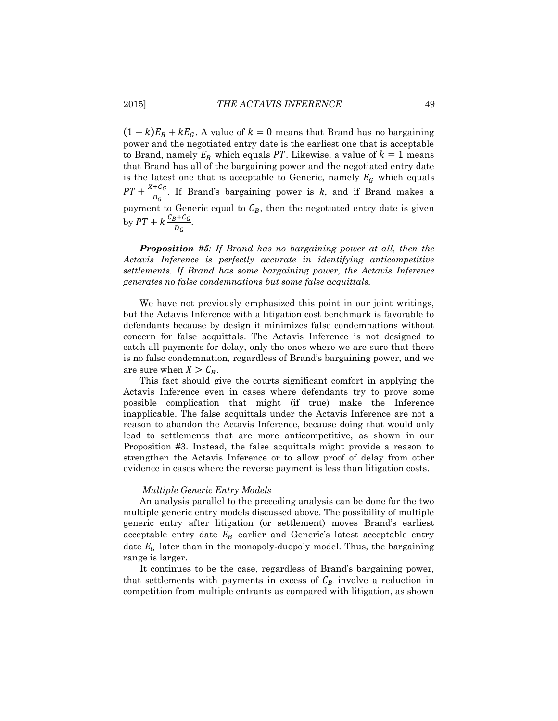$(1 - k) E_B + k E_G$ . A value of  $k = 0$  means that Brand has no bargaining power and the negotiated entry date is the earliest one that is acceptable to Brand, namely  $E_B$  which equals PT. Likewise, a value of  $k = 1$  means that Brand has all of the bargaining power and the negotiated entry date is the latest one that is acceptable to Generic, namely  $E_G$  which equals  $PT + \frac{X + C_G}{D_G}$ . If Brand's bargaining power is *k*, and if Brand makes a payment to Generic equal to  $C_B$ , then the negotiated entry date is given by  $PT + k \frac{C_B + C_G}{D_G}$ .

*Proposition #5: If Brand has no bargaining power at all, then the Actavis Inference is perfectly accurate in identifying anticompetitive settlements. If Brand has some bargaining power, the Actavis Inference generates no false condemnations but some false acquittals.*

We have not previously emphasized this point in our joint writings, but the Actavis Inference with a litigation cost benchmark is favorable to defendants because by design it minimizes false condemnations without concern for false acquittals. The Actavis Inference is not designed to catch all payments for delay, only the ones where we are sure that there is no false condemnation, regardless of Brand's bargaining power, and we are sure when  $X > C_R$ .

This fact should give the courts significant comfort in applying the Actavis Inference even in cases where defendants try to prove some possible complication that might (if true) make the Inference inapplicable. The false acquittals under the Actavis Inference are not a reason to abandon the Actavis Inference, because doing that would only lead to settlements that are more anticompetitive, as shown in our Proposition #3. Instead, the false acquittals might provide a reason to strengthen the Actavis Inference or to allow proof of delay from other evidence in cases where the reverse payment is less than litigation costs.

### *Multiple Generic Entry Models*

An analysis parallel to the preceding analysis can be done for the two multiple generic entry models discussed above. The possibility of multiple generic entry after litigation (or settlement) moves Brand's earliest acceptable entry date  $E_B$  earlier and Generic's latest acceptable entry date  $E_G$  later than in the monopoly-duopoly model. Thus, the bargaining range is larger.

It continues to be the case, regardless of Brand's bargaining power, that settlements with payments in excess of  $C_B$  involve a reduction in competition from multiple entrants as compared with litigation, as shown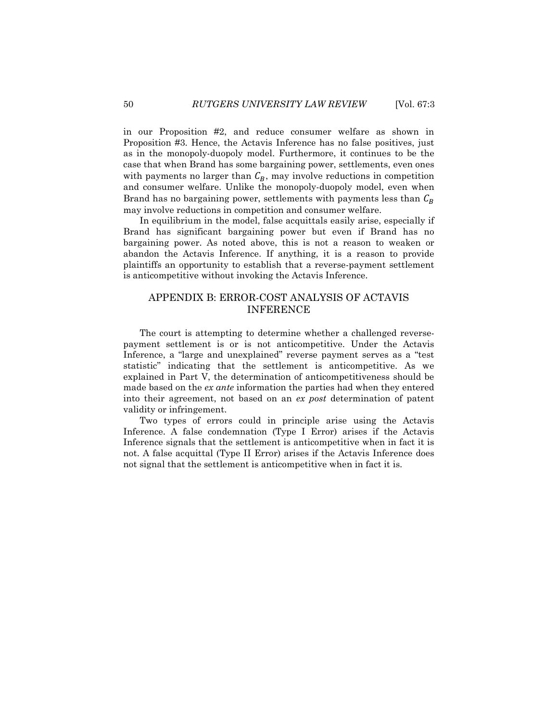in our Proposition #2, and reduce consumer welfare as shown in Proposition #3. Hence, the Actavis Inference has no false positives, just as in the monopoly-duopoly model. Furthermore, it continues to be the case that when Brand has some bargaining power, settlements, even ones with payments no larger than  $C_B$ , may involve reductions in competition and consumer welfare. Unlike the monopoly-duopoly model, even when Brand has no bargaining power, settlements with payments less than  $C_R$ may involve reductions in competition and consumer welfare.

In equilibrium in the model, false acquittals easily arise, especially if Brand has significant bargaining power but even if Brand has no bargaining power. As noted above, this is not a reason to weaken or abandon the Actavis Inference. If anything, it is a reason to provide plaintiffs an opportunity to establish that a reverse-payment settlement is anticompetitive without invoking the Actavis Inference.

# APPENDIX B: ERROR-COST ANALYSIS OF ACTAVIS INFERENCE

The court is attempting to determine whether a challenged reversepayment settlement is or is not anticompetitive. Under the Actavis Inference, a "large and unexplained" reverse payment serves as a "test statistic" indicating that the settlement is anticompetitive. As we explained in Part V, the determination of anticompetitiveness should be made based on the *ex ante* information the parties had when they entered into their agreement, not based on an *ex post* determination of patent validity or infringement.

Two types of errors could in principle arise using the Actavis Inference. A false condemnation (Type I Error) arises if the Actavis Inference signals that the settlement is anticompetitive when in fact it is not. A false acquittal (Type II Error) arises if the Actavis Inference does not signal that the settlement is anticompetitive when in fact it is.